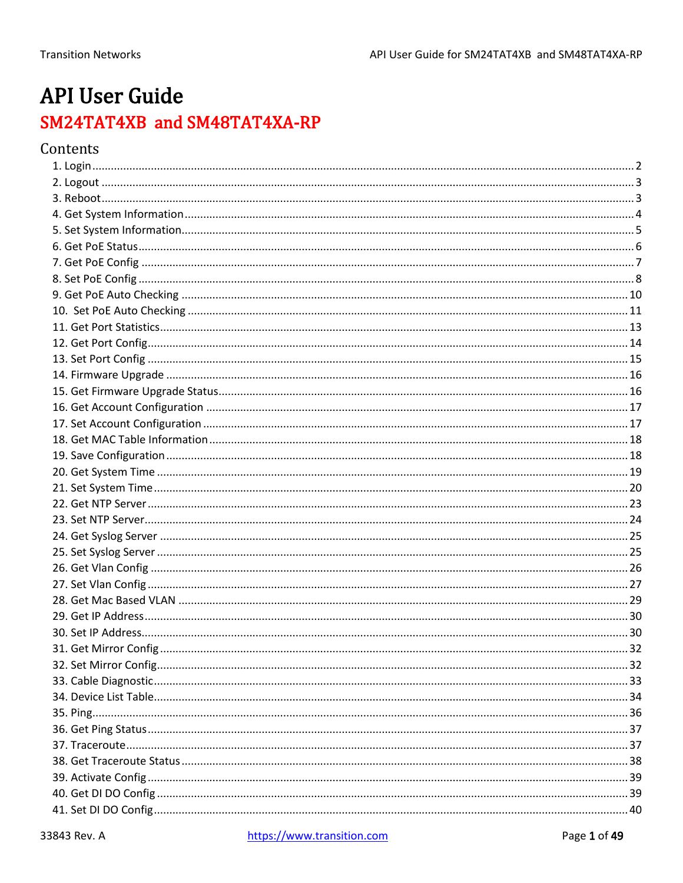# **API User Guide** SM24TAT4XB and SM48TAT4XA-RP

# Contents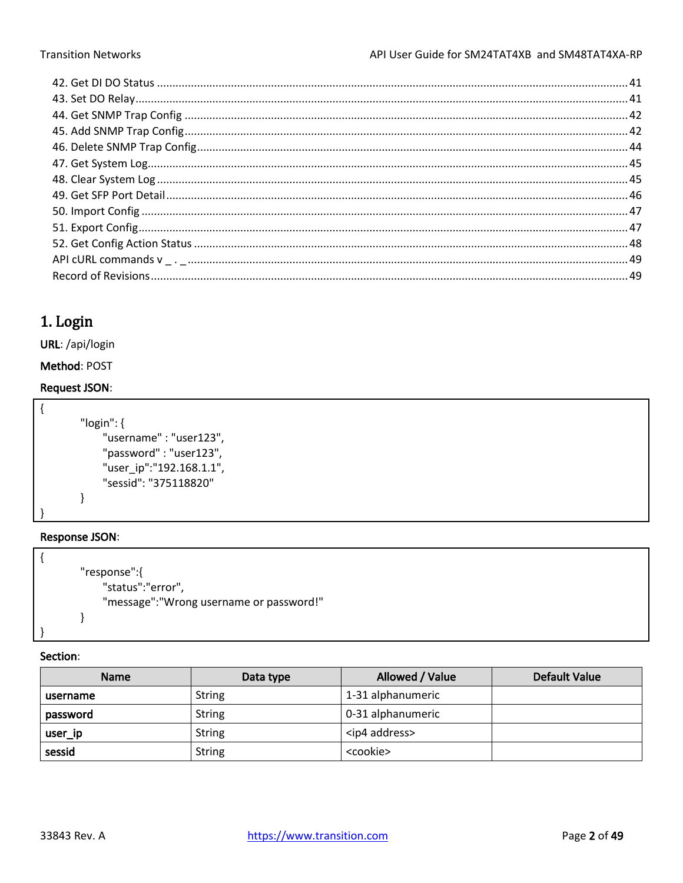# <span id="page-1-0"></span>1. Login

URL: /api/login

Method: POST

## **Request JSON:**

```
\{"login": {
            "username": "user123",
             "password": "user123",
            "user_ip":"192.168.1.1",
             "sessid": "375118820"
        \mathcal{E}ł
```
## **Response JSON:**

```
\{"response":{
            "status":"error",
           "message": "Wrong username or password!"
       \}
```

| <b>Name</b> | Data type     | Allowed / Value        | <b>Default Value</b> |
|-------------|---------------|------------------------|----------------------|
| username    | <b>String</b> | 1-31 alphanumeric      |                      |
| password    | String        | 0-31 alphanumeric      |                      |
| user_ip     | <b>String</b> | <ip4 address=""></ip4> |                      |
| sessid      | <b>String</b> | <cookie></cookie>      |                      |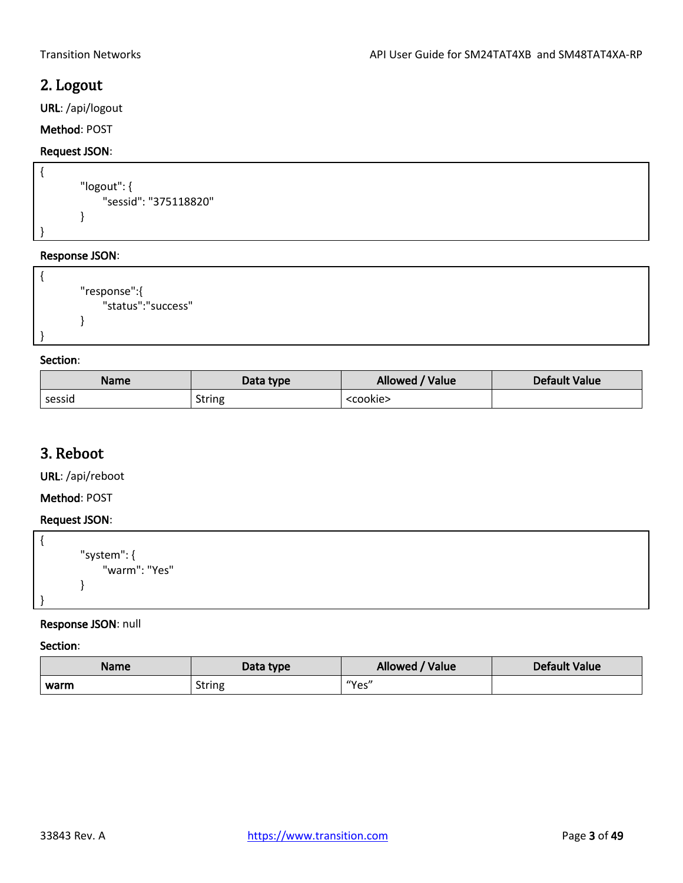# <span id="page-2-0"></span>2. Logout

URL: /api/logout

## Method: POST

## Request JSON:

```
{
        "logout": {
              "sessid": "375118820"
        }
}
```
## Response JSON:

```
{
        "response":{
              "status":"success"
        }
}
```
## Section:

| <b>Name</b> | Data type     | Allowed / Value   | <b>Default Value</b> |
|-------------|---------------|-------------------|----------------------|
| sessid      | <b>String</b> | <cookie></cookie> |                      |

# <span id="page-2-1"></span>3. Reboot

URL: /api/reboot

Method: POST

## Request JSON:

| "system": {<br>"warm": "Yes" |
|------------------------------|
|                              |
|                              |

## Response JSON: null

| <b>Name</b> | Data type     | Allowed / Value | Default Value |
|-------------|---------------|-----------------|---------------|
| warm        | <b>String</b> | "Yes"           |               |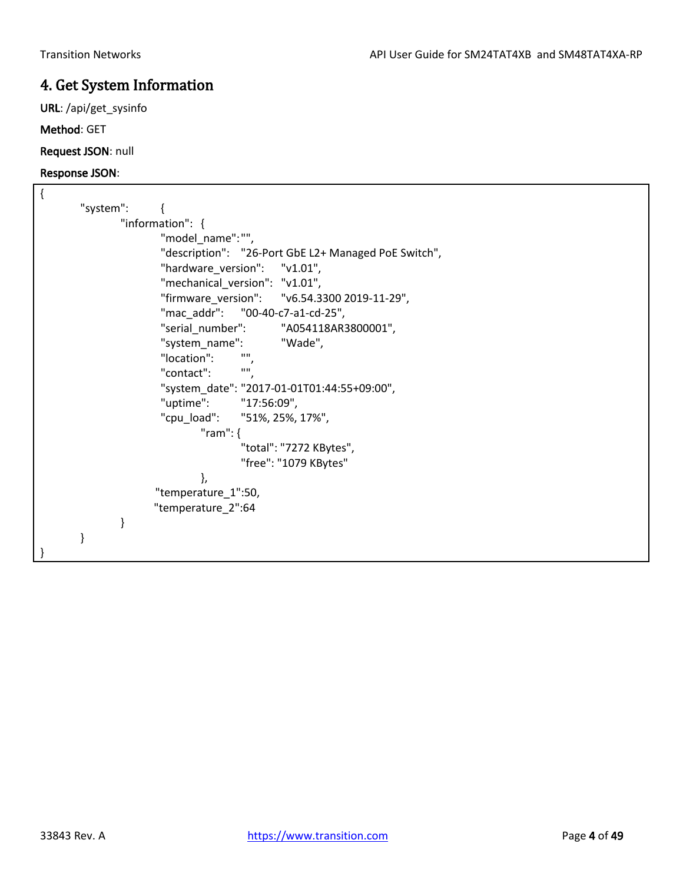# <span id="page-3-0"></span>4. Get System Information

URL: /api/get\_sysinfo

Method: GET

Request JSON: null

| "system":                                            |
|------------------------------------------------------|
| "information": {                                     |
| "model_name":"",                                     |
| "description": "26-Port GbE L2+ Managed PoE Switch", |
| "hardware_version": "v1.01",                         |
| "mechanical_version": "v1.01",                       |
| "firmware_version": "v6.54.3300 2019-11-29",         |
| "mac_addr": "00-40-c7-a1-cd-25",                     |
| "serial_number": "A054118AR3800001",                 |
| "system_name":<br>"Wade",                            |
| "location":                                          |
| <b>HH</b><br>"contact":                              |
| "system_date": "2017-01-01T01:44:55+09:00",          |
| "uptime": "17:56:09",                                |
| "cpu_load": "51%, 25%, 17%",                         |
| "ram": $\{$                                          |
| "total": "7272 KBytes",                              |
| "free": "1079 KBytes"                                |
| },                                                   |
| "temperature_1":50,                                  |
| "temperature_2":64                                   |
| }                                                    |
| }                                                    |
|                                                      |
|                                                      |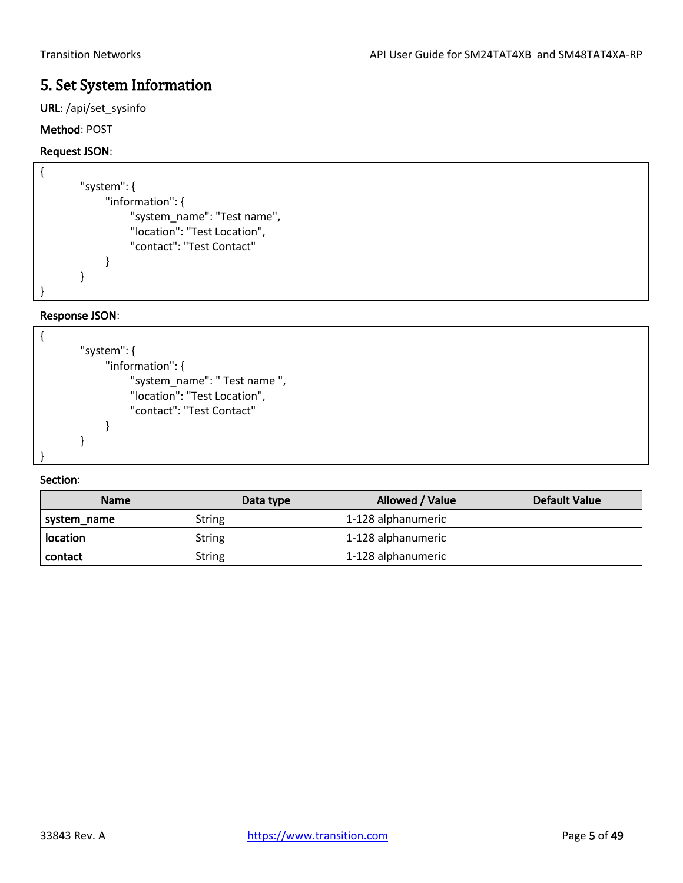# <span id="page-4-0"></span>5. Set System Information

URL: /api/set\_sysinfo

## Method: POST

## Request JSON:

| "system": {                  |
|------------------------------|
| "information": {             |
| "system_name": "Test name",  |
| "location": "Test Location", |
| "contact": "Test Contact"    |
|                              |
|                              |
|                              |

## Response JSON:

|  | "system": {                   |
|--|-------------------------------|
|  | "information": {              |
|  | "system_name": " Test name ", |
|  | "location": "Test Location",  |
|  | "contact": "Test Contact"     |
|  |                               |
|  |                               |
|  |                               |

| <b>Name</b> | Data type     | Allowed / Value    | Default Value |
|-------------|---------------|--------------------|---------------|
| system_name | <b>String</b> | 1-128 alphanumeric |               |
| location    | String        | 1-128 alphanumeric |               |
| contact     | <b>String</b> | 1-128 alphanumeric |               |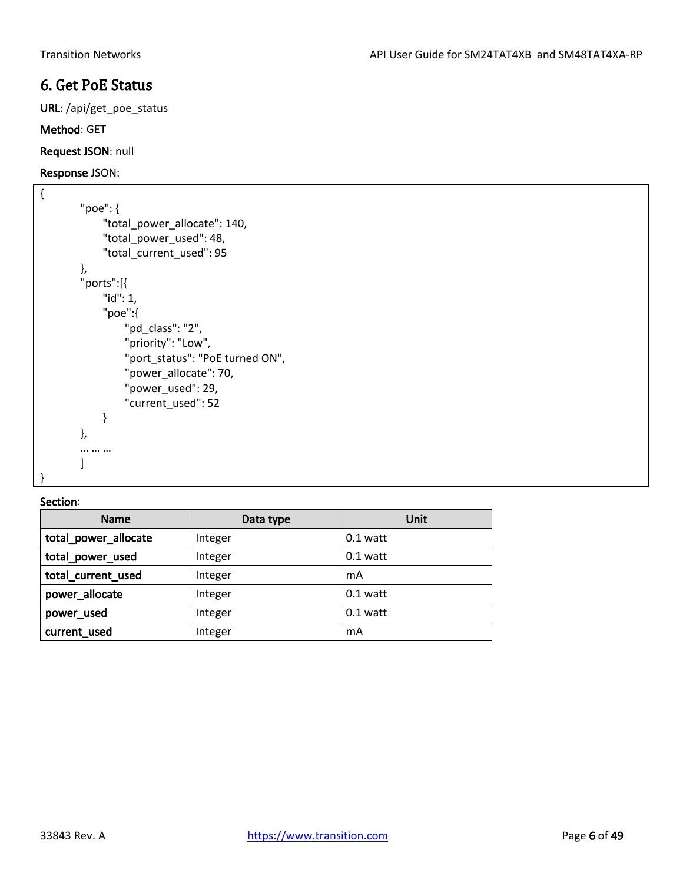# <span id="page-5-0"></span>6. Get PoE Status

URL: /api/get\_poe\_status

Method: GET

Request JSON: null

Response JSON:

```
{
        "poe": {
              "total_power_allocate": 140,
              "total_power_used": 48,
             "total_current_used": 95
        },
        "ports":[{
             "id": 1,
              "poe":{
                  "pd_class": "2",
                  "priority": "Low",
                  "port_status": "PoE turned ON",
                  "power_allocate": 70,
                  "power_used": 29,
                  "current_used": 52
             }
        },
        … … …
        ]
}
```

| Name                 | Data type | Unit       |
|----------------------|-----------|------------|
| total_power_allocate | Integer   | $0.1$ watt |
| total_power_used     | Integer   | $0.1$ watt |
| total current used   | Integer   | mA         |
| power_allocate       | Integer   | $0.1$ watt |
| power used           | Integer   | $0.1$ watt |
| current_used         | Integer   | mA         |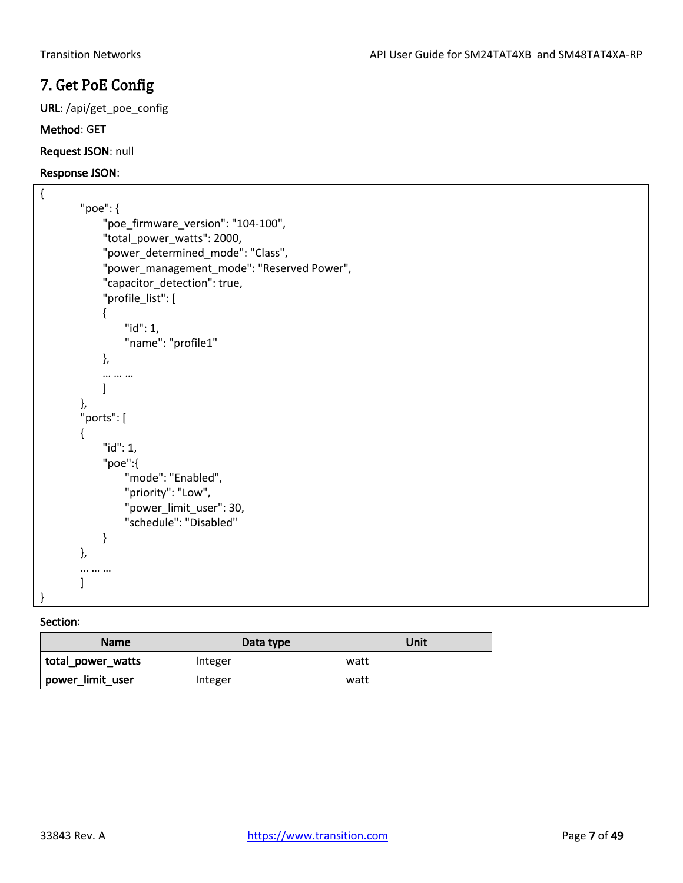# <span id="page-6-0"></span>7. Get PoE Config

URL: /api/get\_poe\_config

### Method: GET

Request JSON: null

### Response JSON:

```
{
        "poe": {
              "poe_firmware_version": "104-100",
              "total_power_watts": 2000,
              "power_determined_mode": "Class",
              "power_management_mode": "Reserved Power",
             "capacitor_detection": true,
              "profile_list": [
              {
                   "id": 1,
                  "name": "profile1"
              },
              … … …
             ]
        },
        "ports": [
        {
              "id": 1,
              "poe":{
                  "mode": "Enabled",
                  "priority": "Low",
                  "power_limit_user": 30,
                  "schedule": "Disabled"
             }
        },
        … … …
        \mathbf{I}}
```

| <b>Name</b>       | Data type | Unit |
|-------------------|-----------|------|
| total_power_watts | Integer   | watt |
| power_limit_user  | Integer   | watt |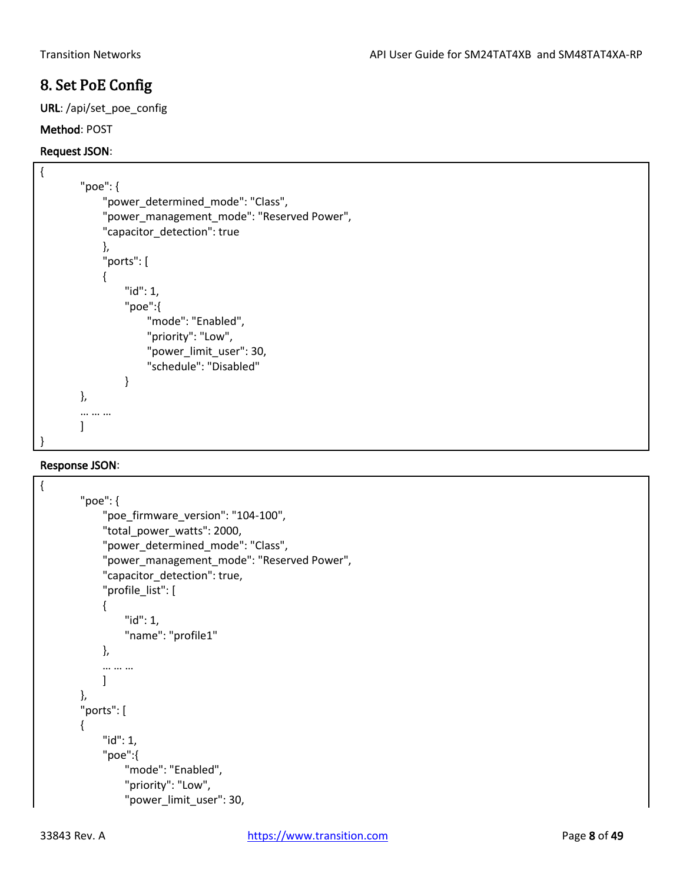# <span id="page-7-0"></span>8. Set PoE Config

URL: /api/set\_poe\_config

### Method: POST

### Request JSON:

```
{
        "poe": {
              "power_determined_mode": "Class",
              "power_management_mode": "Reserved Power",
              "capacitor_detection": true
              },
              "ports": [ 
              {
                  "id": 1,
                  "poe":{
                       "mode": "Enabled",
                       "priority": "Low",
                       "power_limit_user": 30,
                       "schedule": "Disabled"
                  }
        },
        … … …
        ]
}
```

```
{
        "poe": {
              "poe_firmware_version": "104-100",
              "total_power_watts": 2000,
              "power_determined_mode": "Class",
              "power_management_mode": "Reserved Power",
              "capacitor_detection": true,
              "profile_list": [
              {
                  "id": 1,
                  "name": "profile1"
              },
              … … …
             ]
        },
        "ports": [
        {
              "id": 1,
              "poe":{
                  "mode": "Enabled",
                  "priority": "Low",
                  "power_limit_user": 30,
```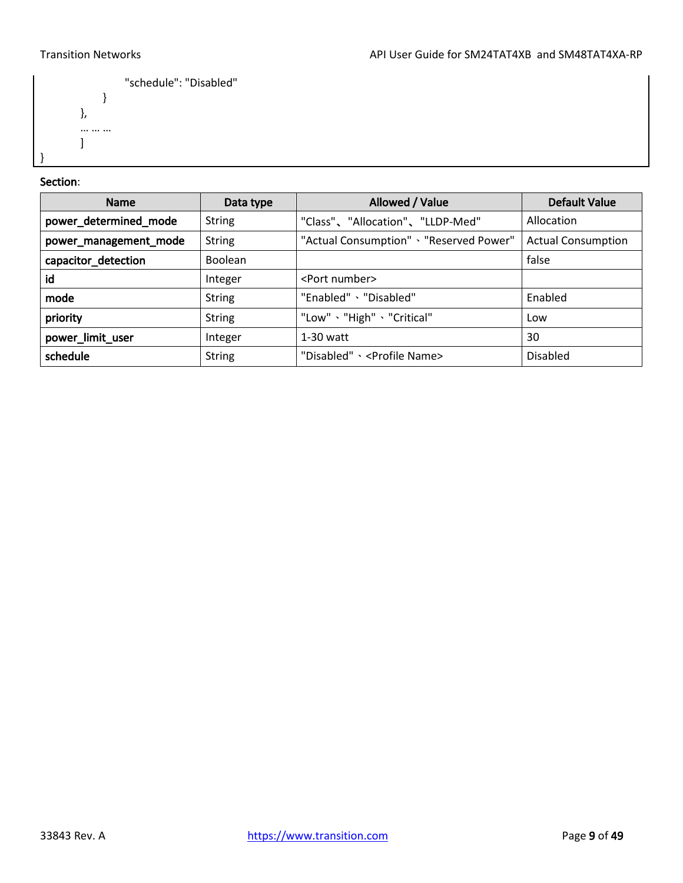

## Section:

}

| <b>Name</b>           | Data type      | Allowed / Value                          | Default Value             |
|-----------------------|----------------|------------------------------------------|---------------------------|
| power_determined_mode | <b>String</b>  | "Class"、"Allocation"、"LLDP-Med"          | Allocation                |
| power_management_mode | <b>String</b>  | "Actual Consumption" > "Reserved Power"  | <b>Actual Consumption</b> |
| capacitor_detection   | <b>Boolean</b> |                                          | false                     |
| id                    | Integer        | <port number=""></port>                  |                           |
| mode                  | <b>String</b>  | "Enabled" 、"Disabled"                    | Enabled                   |
| priority              | <b>String</b>  | "Low" 、"High" 、"Critical"                | Low                       |
| power_limit_user      | Integer        | $1-30$ watt                              | 30                        |
| schedule              | <b>String</b>  | "Disabled" > <profile name=""></profile> | <b>Disabled</b>           |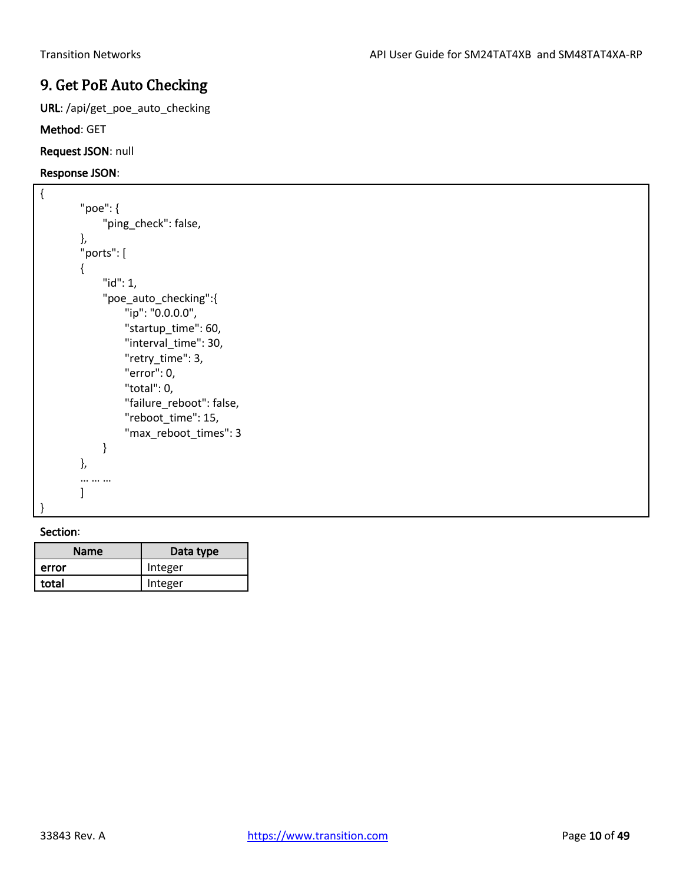# <span id="page-9-0"></span>9. Get PoE Auto Checking

URL: /api/get\_poe\_auto\_checking

Method: GET

Request JSON: null

### Response JSON:

```
{
        "poe": {
              "ping_check": false,
        },
        "ports": [
        {
              "id": 1,
              "poe_auto_checking":{
                   "ip": "0.0.0.0",
                   "startup_time": 60,
                   "interval_time": 30,
                   "retry_time": 3,
                   "error": 0,
                   "total": 0,
                   "failure_reboot": false,
                   "reboot_time": 15,
                   "max_reboot_times": 3
              }
        },
        … … …
        ]
}
```

| <b>Name</b> | Data type |
|-------------|-----------|
| error       | Integer   |
| total       | Integer   |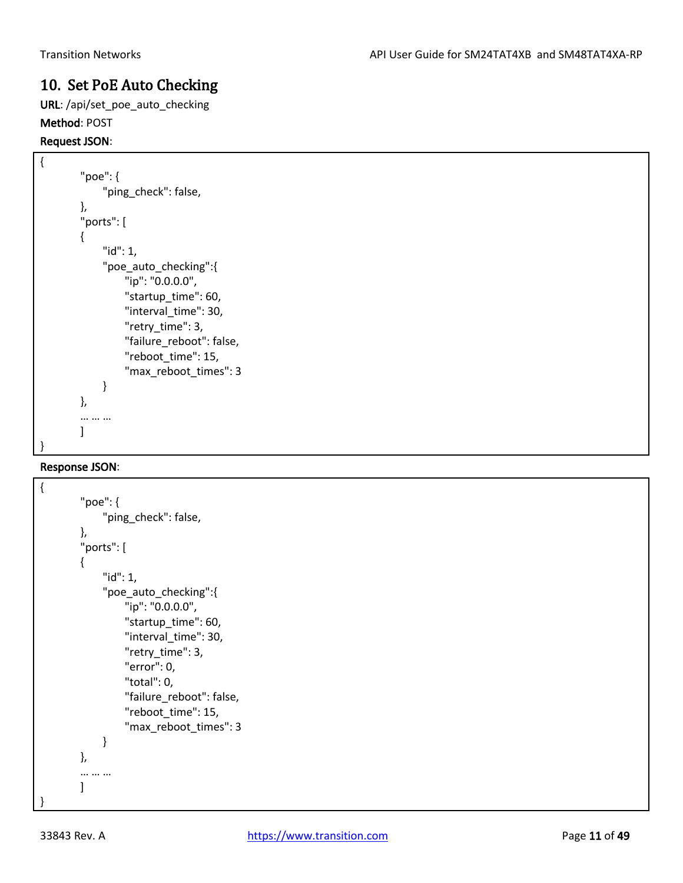# <span id="page-10-0"></span>10. Set PoE Auto Checking

URL: /api/set\_poe\_auto\_checking Method: POST

### Request JSON:

{

```
"poe": {
      "ping_check": false,
},
"ports": [
{
      "id": 1,
     "poe auto checking":{
          "ip": "0.0.0.0",
         "startup_time": 60,
          "interval_time": 30,
          "retry_time": 3,
          "failure_reboot": false,
          "reboot_time": 15,
          "max_reboot_times": 3
     }
},
… … …
]
```
## Response JSON:

}

```
{
         "poe": {
              "ping_check": false,
         },
         "ports": [
         {
               "id": 1,
               "poe_auto_checking":{
                    "ip": "0.0.0.0",
                    "startup_time": 60,
                    "interval_time": 30,
                    "retry_time": 3,
                    "error": 0,
                    "total": 0,
                    "failure_reboot": false,
                    "reboot_time": 15,
                    "max_reboot_times": 3
              }
         },
         … … …
         \mathbf{I}}
```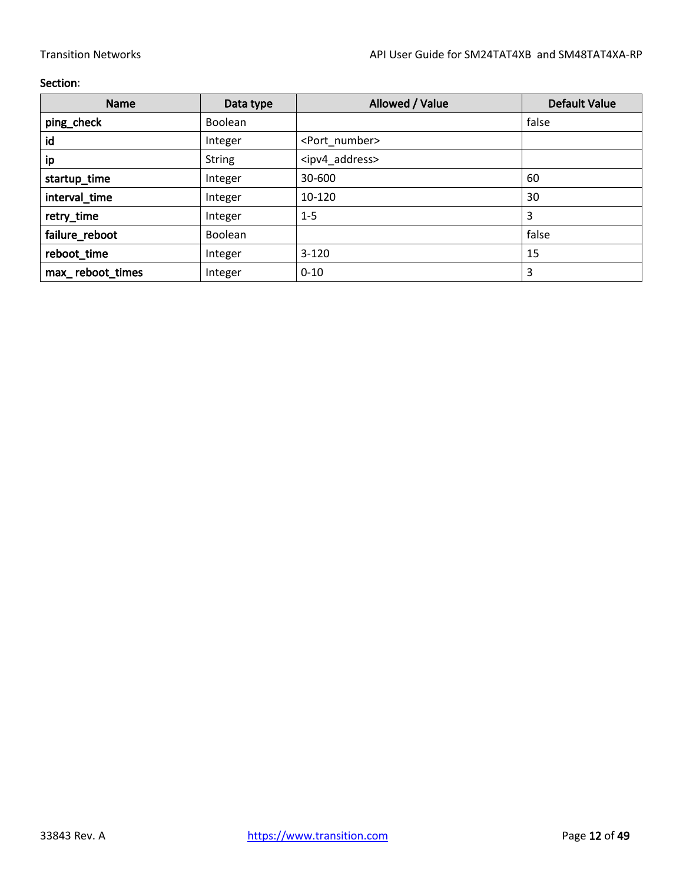| <b>Name</b>      | Data type      | Allowed / Value               | <b>Default Value</b> |
|------------------|----------------|-------------------------------|----------------------|
| ping_check       | <b>Boolean</b> |                               | false                |
| id               | Integer        | <port_number></port_number>   |                      |
| ip               | <b>String</b>  | <ipv4_address></ipv4_address> |                      |
| startup_time     | Integer        | 30-600                        | 60                   |
| interval_time    | Integer        | 10-120                        | 30                   |
| retry_time       | Integer        | $1 - 5$                       | 3                    |
| failure_reboot   | <b>Boolean</b> |                               | false                |
| reboot_time      | Integer        | $3 - 120$                     | 15                   |
| max_reboot_times | Integer        | $0 - 10$                      | 3                    |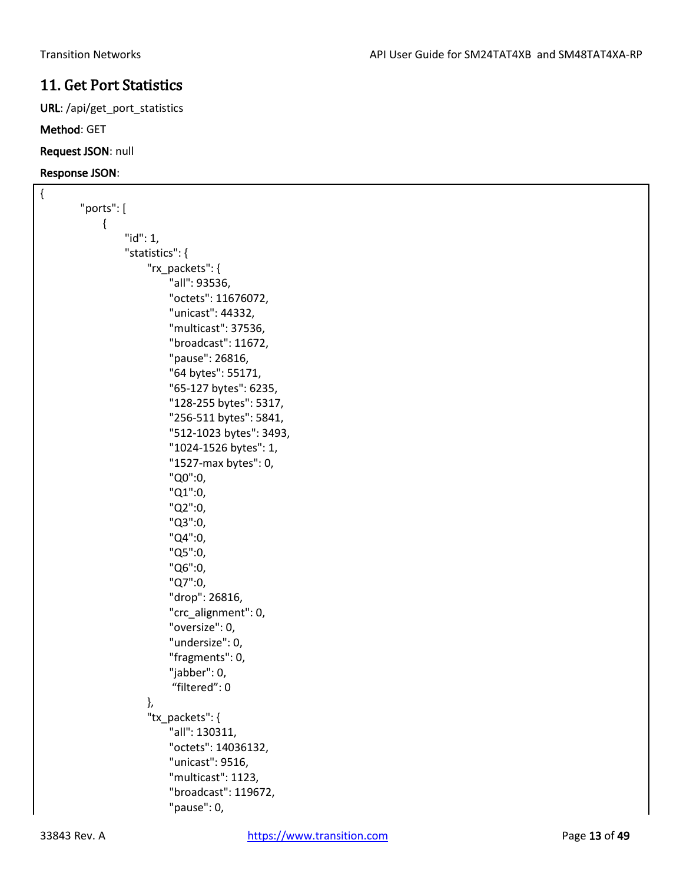# <span id="page-12-0"></span>11. Get Port Statistics

URL: /api/get\_port\_statistics

## Method: GET

Request JSON: null

| "ports": [<br>{<br>" $id$ ": 1, |  |
|---------------------------------|--|
|                                 |  |
|                                 |  |
|                                 |  |
| "statistics": {                 |  |
| "rx_packets": {                 |  |
| "all": 93536,                   |  |
| "octets": 11676072,             |  |
| "unicast": 44332,               |  |
| "multicast": 37536,             |  |
| "broadcast": 11672,             |  |
| "pause": 26816,                 |  |
| "64 bytes": 55171,              |  |
| "65-127 bytes": 6235,           |  |
| "128-255 bytes": 5317,          |  |
| "256-511 bytes": 5841,          |  |
| "512-1023 bytes": 3493,         |  |
| "1024-1526 bytes": 1,           |  |
| "1527-max bytes": 0,            |  |
| "Q0":0,                         |  |
| "Q1":0,                         |  |
| "Q2":0,                         |  |
| "Q3":0,                         |  |
| "Q4":0,                         |  |
| "Q5":0,                         |  |
| "Q6":0,                         |  |
| "Q7":0,                         |  |
| "drop": 26816,                  |  |
| "crc_alignment": 0,             |  |
| "oversize": 0,                  |  |
| "undersize": 0,                 |  |
| "fragments": 0,                 |  |
| "jabber": 0,                    |  |
| "filtered": 0                   |  |
| },                              |  |
| "tx_packets": {                 |  |
| "all": 130311,                  |  |
| "octets": 14036132,             |  |
| "unicast": 9516,                |  |
| "multicast": 1123,              |  |
| "broadcast": 119672,            |  |
| "pause": 0,                     |  |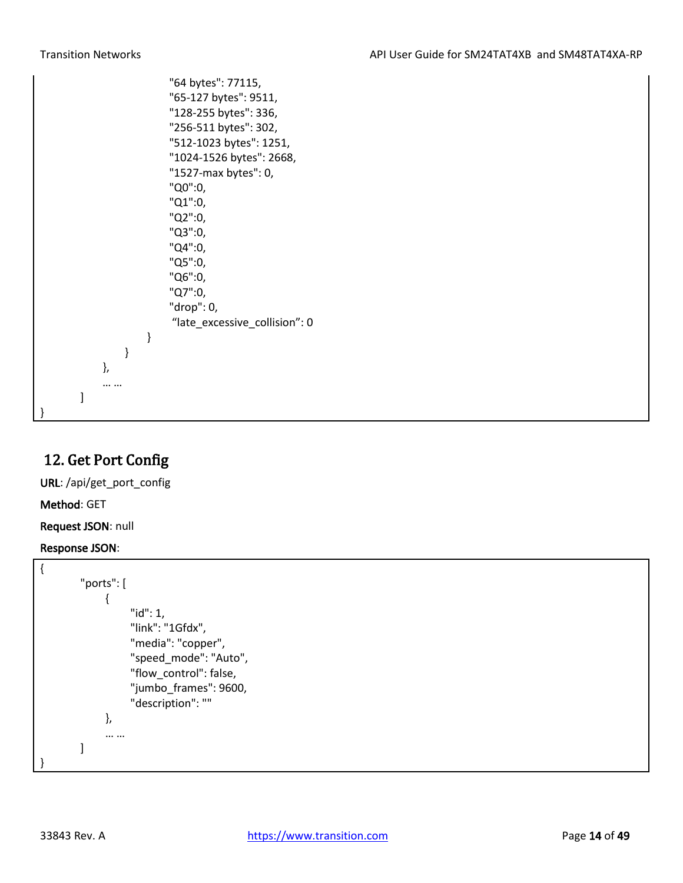|   |   | ł<br>}, | } | "64 bytes": 77115,<br>"65-127 bytes": 9511,<br>"128-255 bytes": 336,<br>"256-511 bytes": 302,<br>"512-1023 bytes": 1251,<br>"1024-1526 bytes": 2668,<br>"1527-max bytes": 0,<br>"Q0":0,<br>"Q1":0,<br>"Q2":0,<br>"Q3":0,<br>"Q4":0,<br>"Q5":0,<br>"Q6":0,<br>"Q7":0,<br>"drop": 0,<br>"late_excessive_collision": 0 |
|---|---|---------|---|---------------------------------------------------------------------------------------------------------------------------------------------------------------------------------------------------------------------------------------------------------------------------------------------------------------------|
| } | 1 |         |   |                                                                                                                                                                                                                                                                                                                     |

# <span id="page-13-0"></span>12. Get Port Config

URL: /api/get\_port\_config

Method: GET

Request JSON: null

```
{
        "ports": [
              {
                    "id": 1,
                    "link": "1Gfdx",
                    "media": "copper",
                    "speed_mode": "Auto",
                    "flow_control": false,
                   "jumbo_frames": 9600,
                    "description": ""
              },
              … …
        ]
}
```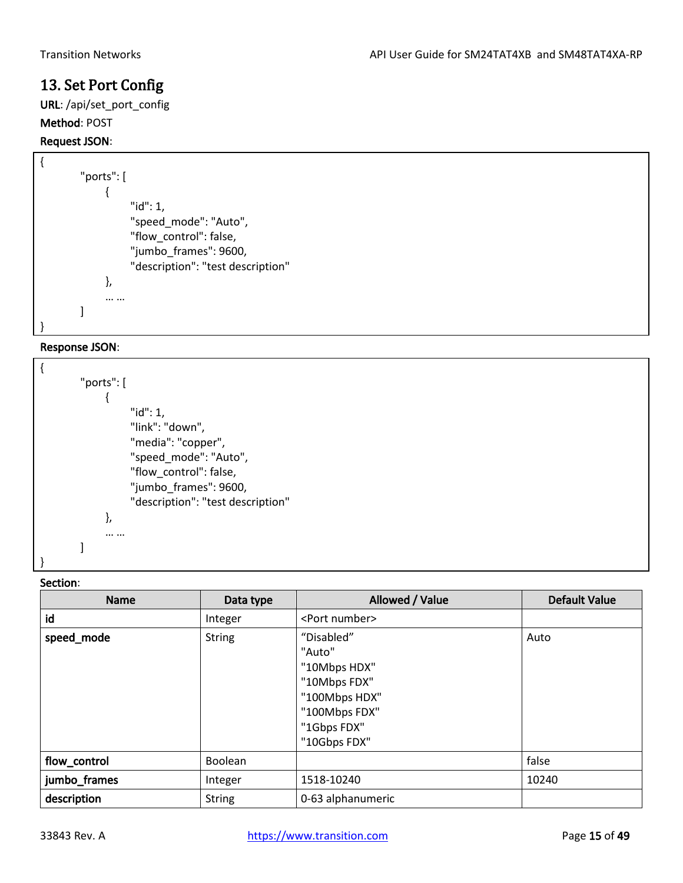# <span id="page-14-0"></span>13. Set Port Config

URL: /api/set\_port\_config Method: POST

# Request JSON:

```
{
        "ports": [
              {
                    "id": 1,
                    "speed_mode": "Auto",
                    "flow_control": false,
                    "jumbo_frames": 9600,
                    "description": "test description"
              },
              … …
        ]
}
```
## Response JSON:

| "ports": [ |                                   |
|------------|-----------------------------------|
|            |                                   |
|            | "id": 1,                          |
|            | "link": "down",                   |
|            | "media": "copper",                |
|            | "speed mode": "Auto",             |
|            | "flow control": false,            |
|            | "jumbo frames": 9600,             |
|            | "description": "test description" |
| },         |                                   |
|            |                                   |
|            |                                   |
|            |                                   |

| <b>Name</b>  | Data type     | Allowed / Value                                                                                                       | <b>Default Value</b> |
|--------------|---------------|-----------------------------------------------------------------------------------------------------------------------|----------------------|
| id           | Integer       | <port number=""></port>                                                                                               |                      |
| speed_mode   | <b>String</b> | "Disabled"<br>"Auto"<br>"10Mbps HDX"<br>"10Mbps FDX"<br>"100Mbps HDX"<br>"100Mbps FDX"<br>"1Gbps FDX"<br>"10Gbps FDX" | Auto                 |
| flow_control | Boolean       |                                                                                                                       | false                |
| jumbo_frames | Integer       | 1518-10240                                                                                                            | 10240                |
| description  | <b>String</b> | 0-63 alphanumeric                                                                                                     |                      |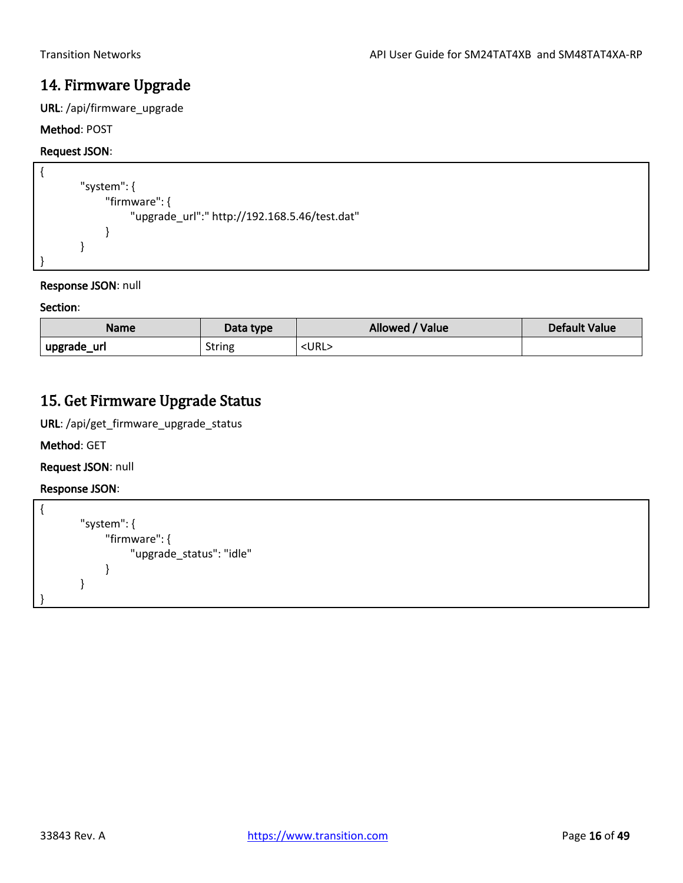# <span id="page-15-0"></span>14. Firmware Upgrade

URL: /api/firmware\_upgrade

## Method: POST

### Request JSON:

```
{
        "system": {
              "firmware": {
                    "upgrade_url":" http://192.168.5.46/test.dat"
              }
        }
}
```
### Response JSON: null

### Section:

| <b>Name</b> | Data type     | Allowed / Value | <b>Default Value</b> |
|-------------|---------------|-----------------|----------------------|
| upgrade_url | <b>String</b> | <url></url>     |                      |

# <span id="page-15-1"></span>15. Get Firmware Upgrade Status

URL: /api/get\_firmware\_upgrade\_status

Method: GET

Request JSON: null

```
{
        "system": {
               "firmware": {
                    "upgrade_status": "idle"
               }
        }
}
```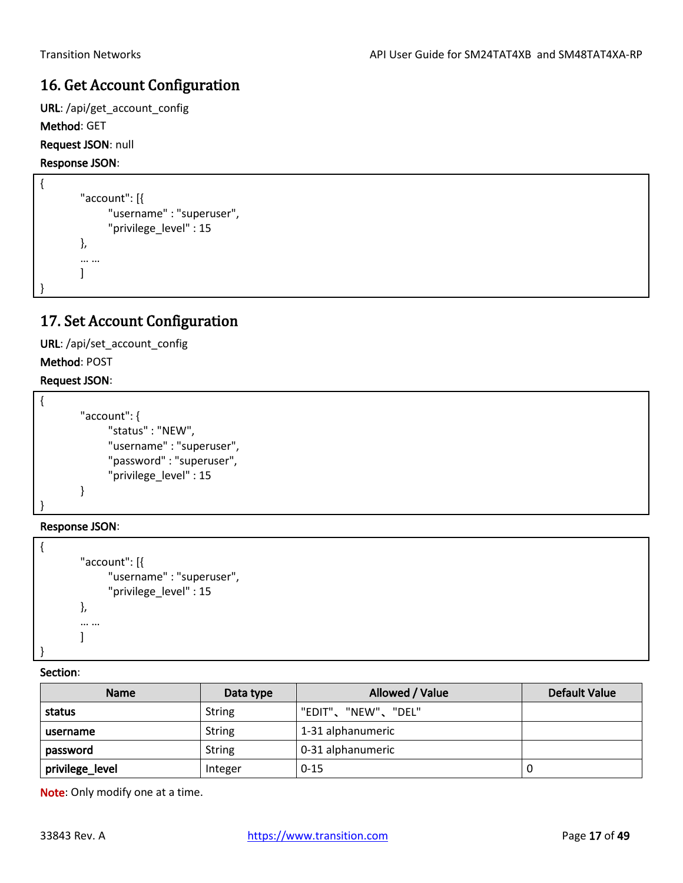# <span id="page-16-0"></span>16. Get Account Configuration

URL: /api/get\_account\_config

Method: GET

Request JSON: null

Response JSON:

```
{
         "account": [{
                 "username" : "superuser",
                 "privilege_level" : 15
         },
         … …
         \mathbf{I}}
```
# <span id="page-16-1"></span>17. Set Account Configuration

URL: /api/set\_account\_config Method: POST

## Request JSON:

```
{
        "account": {
               "status" : "NEW",
               "username" : "superuser",
               "password" : "superuser",
               "privilege_level" : 15
        }
}
```
Response JSON:

```
{
        "account": [{
               "username" : "superuser",
              "privilege_level" : 15
        },
        … …
        ]
}
```
Section:

| <b>Name</b>     | Data type     | Allowed / Value    | <b>Default Value</b> |
|-----------------|---------------|--------------------|----------------------|
| status          | <b>String</b> | "EDIT"、"NEW"、"DEL" |                      |
| username        | <b>String</b> | 1-31 alphanumeric  |                      |
| password        | <b>String</b> | 0-31 alphanumeric  |                      |
| privilege_level | Integer       | $0 - 15$           |                      |

Note: Only modify one at a time.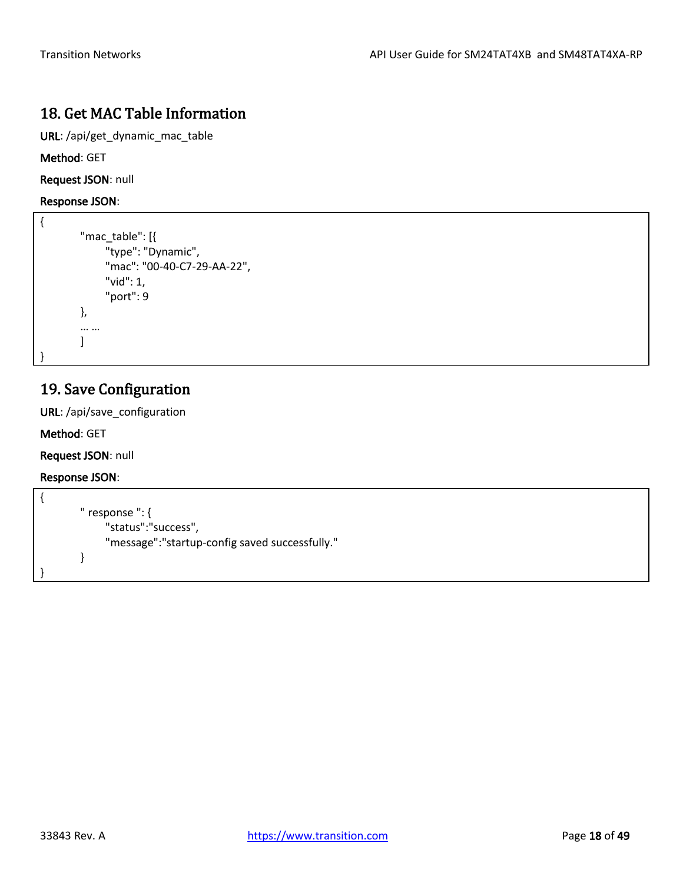# <span id="page-17-0"></span>18. Get MAC Table Information

URL: /api/get\_dynamic\_mac\_table

Method: GET

Request JSON: null

Response JSON:

```
{
         "mac_table": [{
               "type": "Dynamic",
               "mac": "00-40-C7-29-AA-22",
               "vid": 1,
               "port": 9
        },
         … …
        \mathbf{I}}
```
# <span id="page-17-1"></span>19. Save Configuration

URL: /api/save\_configuration

Method: GET

Request JSON: null

```
{
        " response ": {
              "status":"success",
              "message":"startup-config saved successfully."
        }
}
```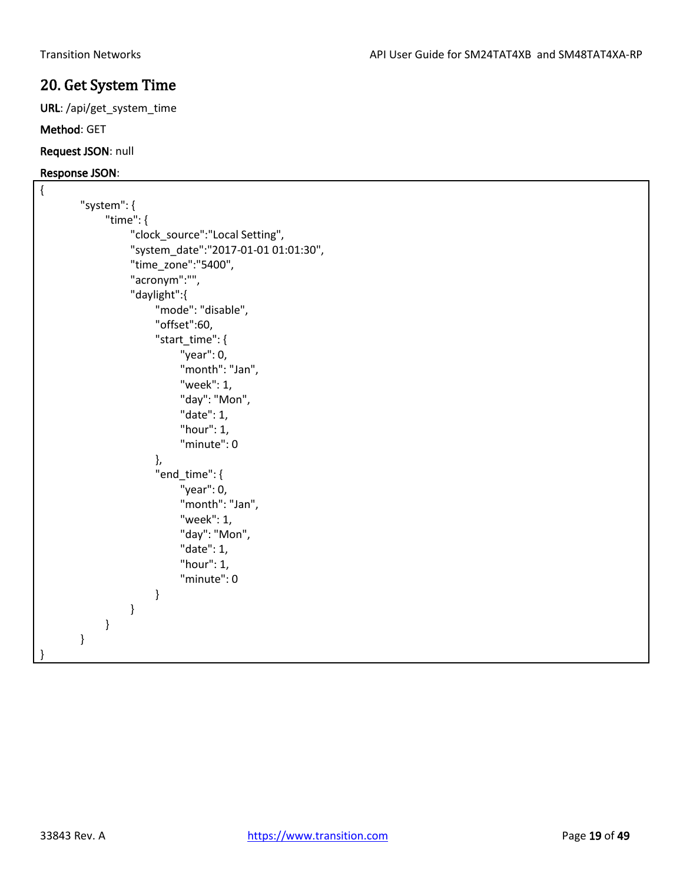## <span id="page-18-0"></span>20. Get System Time

URL: /api/get\_system\_time

### Method: GET

Request JSON: null

```
{
        "system": {
              "time": {
                   "clock_source":"Local Setting",
                   "system_date":"2017-01-01 01:01:30",
                   "time_zone":"5400",
                   "acronym":"",
                   "daylight":{
                        "mode": "disable",
                        "offset":60,
                        "start_time": {
                              "year": 0,
                              "month": "Jan",
                              "week": 1,
                              "day": "Mon",
                              "date": 1,
                              "hour": 1,
                              "minute": 0
                        },
                       "end time": {
                              "year": 0,
                              "month": "Jan",
                              "week": 1,
                              "day": "Mon",
                              "date": 1,
                              "hour": 1,
                              "minute": 0
         }
                   }
              }
        }
}
```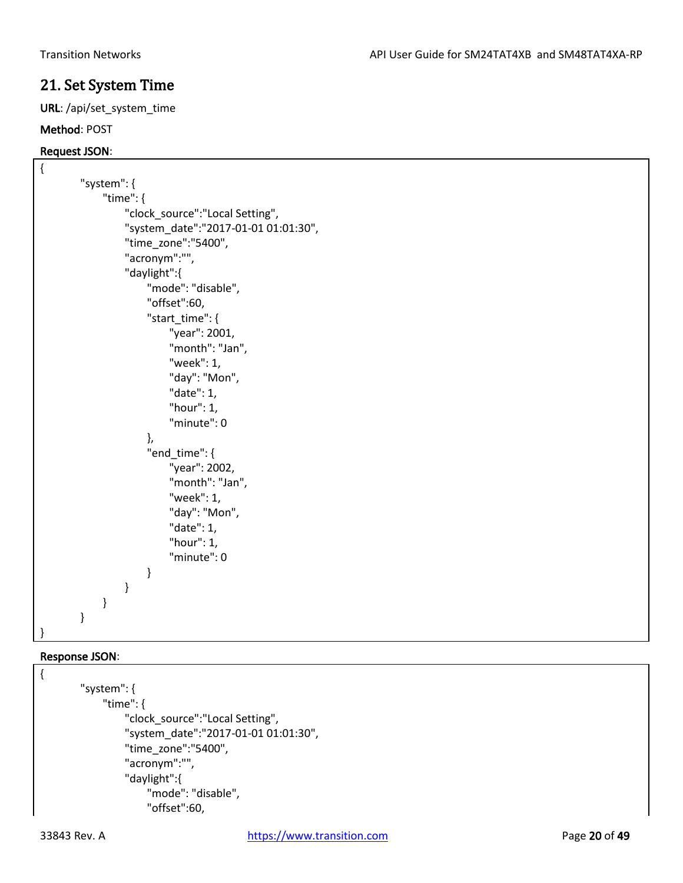# <span id="page-19-0"></span>21. Set System Time

URL: /api/set\_system\_time

## Method: POST

## Request JSON:

```
{
        "system": {
              "time": {
                   "clock_source":"Local Setting",
                   "system_date":"2017-01-01 01:01:30",
                   "time_zone":"5400",
                   "acronym":"",
                   "daylight":{
                       "mode": "disable",
                       "offset":60,
                       "start_time": {
                            "year": 2001,
                            "month": "Jan",
                            "week": 1,
                            "day": "Mon",
                            "date": 1,
                            "hour": 1,
                            "minute": 0
                       },
                      "end_time": {
                            "year": 2002,
                            "month": "Jan",
                            "week": 1,
                            "day": "Mon",
                            "date": 1,
                            "hour": 1,
                            "minute": 0
         }
                  }
              }
        }
}
```
## Response JSON:

{

```
"system": {
     "time": {
          "clock_source":"Local Setting",
          "system_date":"2017-01-01 01:01:30",
          "time_zone":"5400",
          "acronym":"",
          "daylight":{
              "mode": "disable",
              "offset":60,
```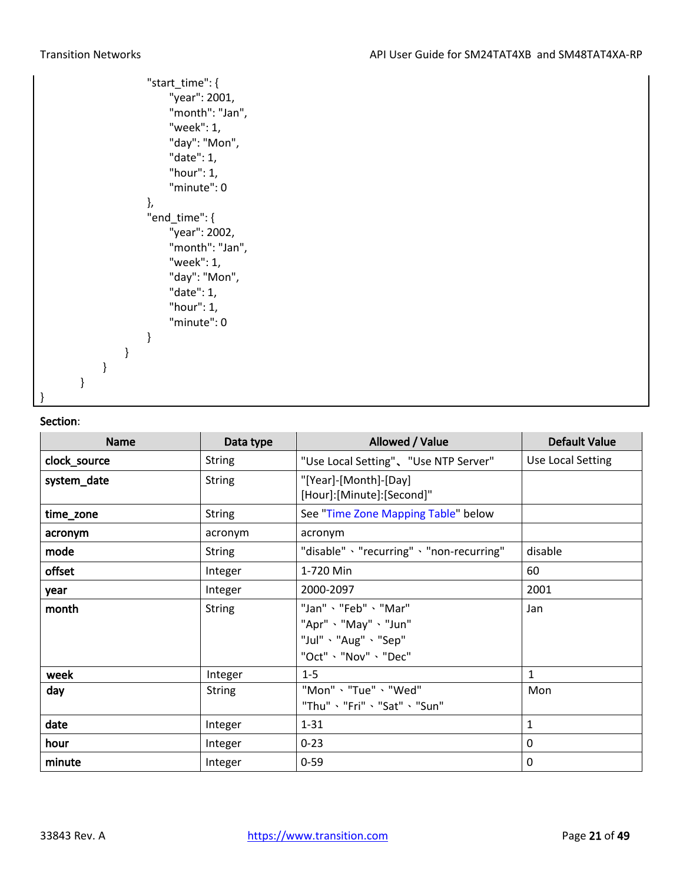|   |   |   |   | "start_time": {<br>"year": 2001,<br>"month": "Jan",<br>"week": 1,<br>"day": "Mon",<br>"date": 1,<br>"hour": 1,<br>"minute": 0 |
|---|---|---|---|-------------------------------------------------------------------------------------------------------------------------------|
|   |   |   |   | },                                                                                                                            |
|   |   |   |   | "end_time": {                                                                                                                 |
|   |   |   |   | "year": 2002,                                                                                                                 |
|   |   |   |   | "month": "Jan",                                                                                                               |
|   |   |   |   | "week": 1,                                                                                                                    |
|   |   |   |   | "day": "Mon",                                                                                                                 |
|   |   |   |   | "date": 1,                                                                                                                    |
|   |   |   |   | "hour": 1,                                                                                                                    |
|   |   |   |   | "minute": 0                                                                                                                   |
|   |   |   |   | }                                                                                                                             |
|   |   |   | ł |                                                                                                                               |
|   |   | ł |   |                                                                                                                               |
|   | Ι |   |   |                                                                                                                               |
| ł |   |   |   |                                                                                                                               |

| <b>Name</b>  | Data type     | Allowed / Value                                                                        | <b>Default Value</b> |
|--------------|---------------|----------------------------------------------------------------------------------------|----------------------|
| clock_source | <b>String</b> | "Use Local Setting"、"Use NTP Server"                                                   | Use Local Setting    |
| system_date  | <b>String</b> | "[Year]-[Month]-[Day]<br>[Hour]:[Minute]:[Second]"                                     |                      |
| time_zone    | <b>String</b> | See "Time Zone Mapping Table" below                                                    |                      |
| acronym      | acronym       | acronym                                                                                |                      |
| mode         | String        | "disable" > "recurring" > "non-recurring"                                              | disable              |
| offset       | Integer       | 1-720 Min                                                                              | 60                   |
| year         | Integer       | 2000-2097                                                                              | 2001                 |
| month        | <b>String</b> | "Jan"、"Feb"、"Mar"<br>"Apr" 、"May" 、"Jun"<br>"Jul" 、"Aug" 、"Sep"<br>"Oct" 、"Nov" 、"Dec" | Jan                  |
| week         | Integer       | $1 - 5$                                                                                | 1                    |
| day          | String        | "Mon" > "Tue" > "Wed"<br>"Thu"、"Fri"、"Sat"、"Sun"                                       | Mon                  |
| date         | Integer       | $1 - 31$                                                                               | $\mathbf{1}$         |
| hour         | Integer       | $0 - 23$                                                                               | 0                    |
| minute       | Integer       | $0 - 59$                                                                               | 0                    |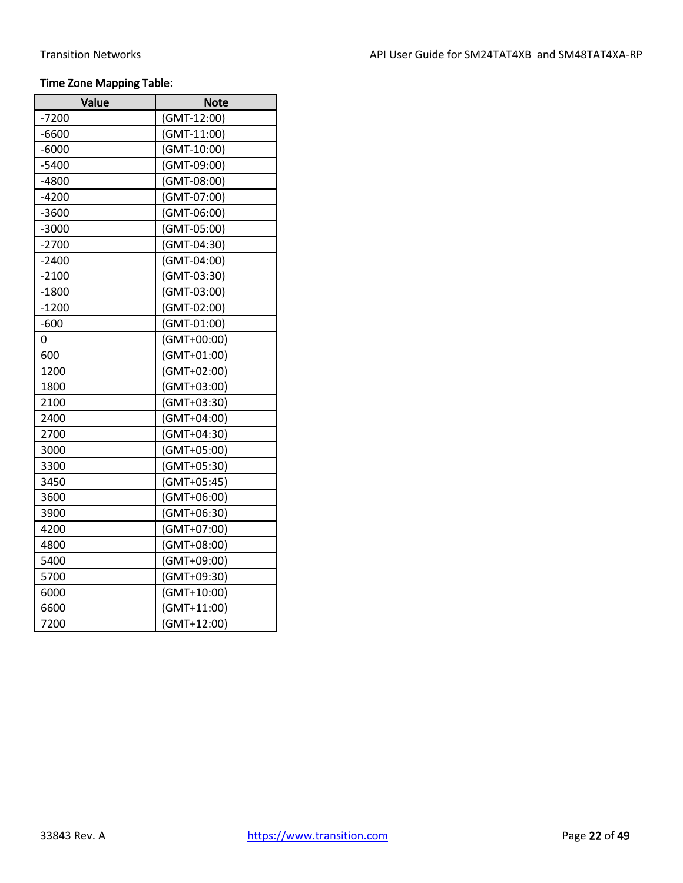## Time Zone Mapping Table:

| Value   | Note        |
|---------|-------------|
| -7200   | (GMT-12:00) |
| $-6600$ | (GMT-11:00) |
| $-6000$ | (GMT-10:00) |
| $-5400$ | (GMT-09:00) |
| $-4800$ | (GMT-08:00) |
| $-4200$ | (GMT-07:00) |
| $-3600$ | (GMT-06:00) |
| $-3000$ | (GMT-05:00) |
| $-2700$ | (GMT-04:30) |
| $-2400$ | (GMT-04:00) |
| $-2100$ | (GMT-03:30) |
| $-1800$ | (GMT-03:00) |
| $-1200$ | (GMT-02:00) |
| $-600$  | (GMT-01:00) |
| 0       | (GMT+00:00) |
| 600     | (GMT+01:00) |
| 1200    | (GMT+02:00) |
| 1800    | (GMT+03:00) |
| 2100    | (GMT+03:30) |
| 2400    | (GMT+04:00) |
| 2700    | (GMT+04:30) |
| 3000    | (GMT+05:00) |
| 3300    | (GMT+05:30) |
| 3450    | (GMT+05:45) |
| 3600    | (GMT+06:00) |
| 3900    | (GMT+06:30) |
| 4200    | (GMT+07:00) |
| 4800    | (GMT+08:00) |
| 5400    | (GMT+09:00) |
| 5700    | (GMT+09:30) |
| 6000    | (GMT+10:00) |
| 6600    | (GMT+11:00) |
| 7200    | (GMT+12:00) |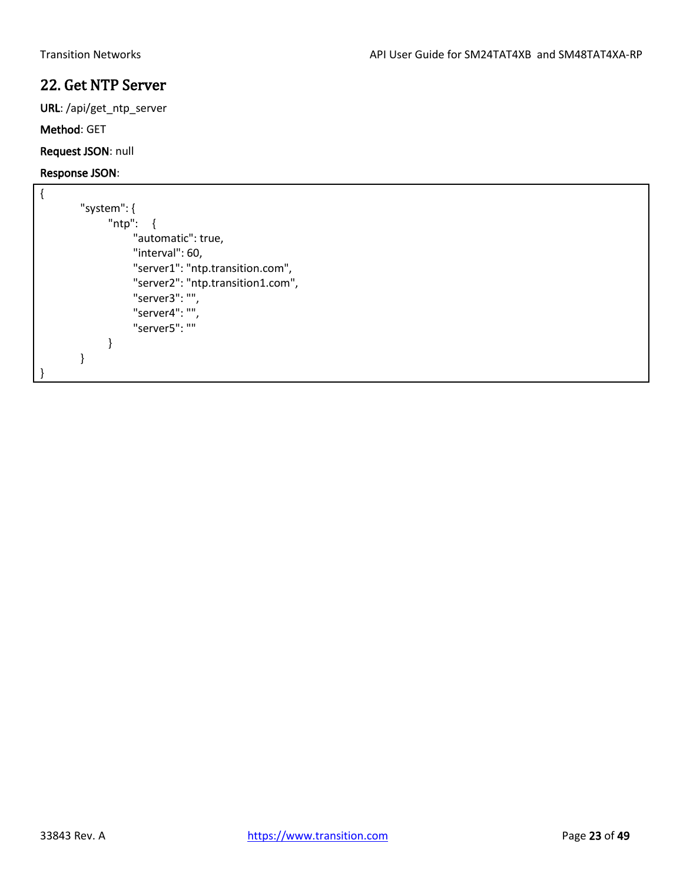# <span id="page-22-0"></span>22. Get NTP Server

URL: /api/get\_ntp\_server

### Method: GET

Request JSON: null

```
{
        "system": {
               "ntp": {
                    "automatic": true,
                    "interval": 60,
                    "server1": "ntp.transition.com",
                    "server2": "ntp.transition1.com",
                    "server3": "",
                    "server4": "",
                    "server5": ""
              }
        }
}
```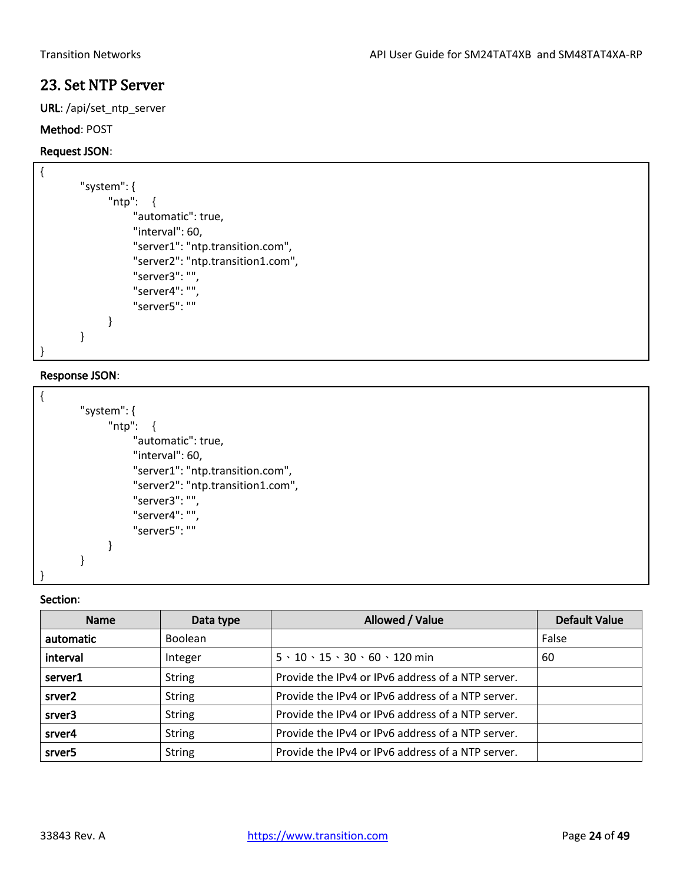# 23. Set NTP Server

URL: /api/set\_ntp\_server

### Method: POST

### Request JSON:

```
{
        "system": {
               "ntp": {
                    "automatic": true,
                    "interval": 60,
                    "server1": "ntp.transition.com",
                     "server2": "ntp.transition1.com",
                    "server3": "",
                     "server4": "",
                     "server5": ""
               }
        }
}
```
### Response JSON:

| "system": {                       |
|-----------------------------------|
| "ntp": $\{$                       |
| "automatic": true,                |
| "interval": 60,                   |
| "server1": "ntp.transition.com",  |
| "server2": "ntp.transition1.com", |
| "server3": "",                    |
| "server4": "",                    |
| "server5": ""                     |
|                                   |
|                                   |

### Section:

}

<span id="page-23-0"></span>

| <b>Name</b>        | Data type      | Allowed / Value                                       | <b>Default Value</b> |
|--------------------|----------------|-------------------------------------------------------|----------------------|
| automatic          | <b>Boolean</b> |                                                       | False                |
| interval           | Integer        | $5 \cdot 10 \cdot 15 \cdot 30 \cdot 60 \cdot 120$ min | 60                   |
| server1            | <b>String</b>  | Provide the IPv4 or IPv6 address of a NTP server.     |                      |
| srver <sub>2</sub> | <b>String</b>  | Provide the IPv4 or IPv6 address of a NTP server.     |                      |
| srver3             | <b>String</b>  | Provide the IPv4 or IPv6 address of a NTP server.     |                      |
| srver4             | <b>String</b>  | Provide the IPv4 or IPv6 address of a NTP server.     |                      |
| srver <sub>5</sub> | <b>String</b>  | Provide the IPv4 or IPv6 address of a NTP server.     |                      |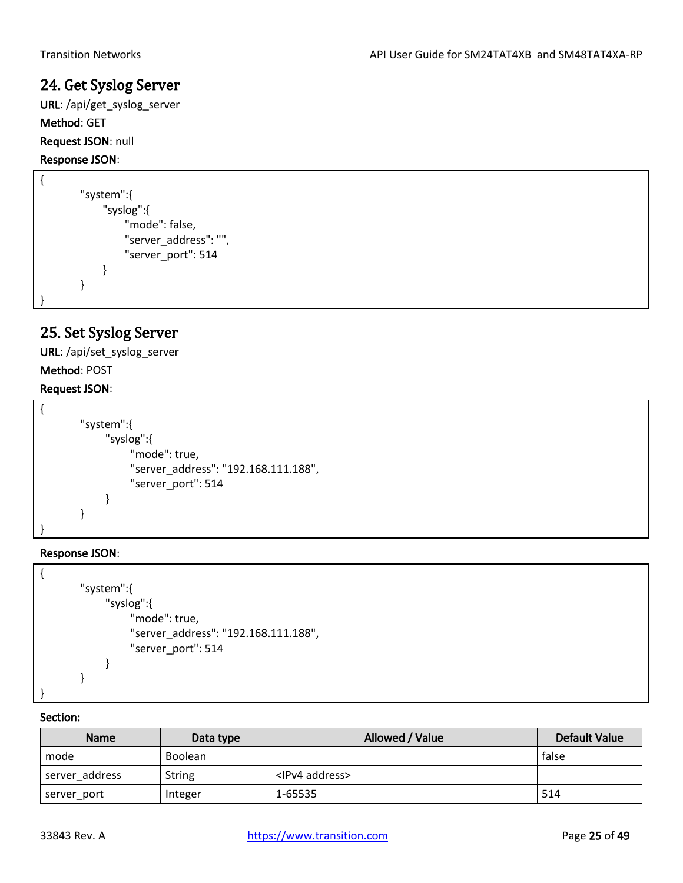# 24. Get Syslog Server

URL: /api/get\_syslog\_server Method: GET Request JSON: null

## Response JSON:

```
{
        "system":{
              "syslog":{
                   "mode": false,
                   "server_address": "",
                   "server_port": 514
              }
        }
}
```
# <span id="page-24-0"></span>25. Set Syslog Server

URL: /api/set\_syslog\_server

## Method: POST

## Request JSON:

| "system":{                           |
|--------------------------------------|
| "syslog":{                           |
| "mode": true,                        |
| "server_address": "192.168.111.188", |
| "server port": 514                   |
|                                      |
|                                      |
|                                      |

## Response JSON:



| <b>Name</b>    | Data type     | Allowed / Value          | <b>Default Value</b> |
|----------------|---------------|--------------------------|----------------------|
| mode           | Boolean       |                          | false                |
| server address | <b>String</b> | <ipv4 address=""></ipv4> |                      |
| server_port    | Integer       | 1-65535                  | 514                  |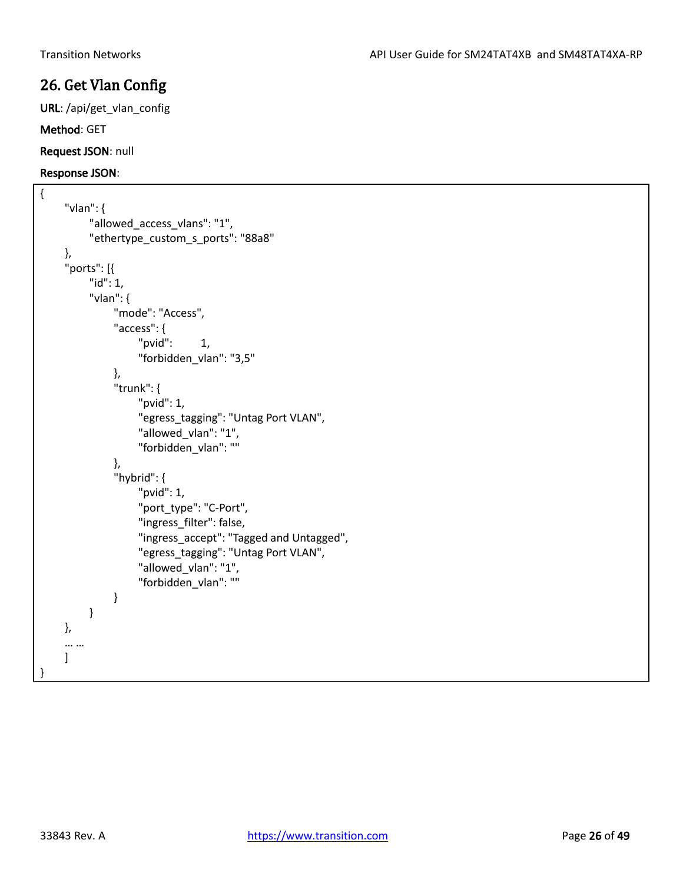# <span id="page-25-0"></span>26. Get Vlan Config

URL: /api/get\_vlan\_config

Method: GET

Request JSON: null

```
{
    "vlan": {
          "allowed_access_vlans": "1",
          "ethertype_custom_s_ports": "88a8"
    },
    "ports": [{
         "id": 1,
         "vlan": {
              "mode": "Access",
              "access": {
                   "pvid": 1,
                   "forbidden_vlan": "3,5"
              },
               "trunk": {
                   "pvid": 1,
                   "egress_tagging": "Untag Port VLAN",
                   "allowed_vlan": "1",
                   "forbidden_vlan": ""
              },
              "hybrid": {
                   "pvid": 1,
                   "port_type": "C-Port",
                   "ingress_filter": false,
                   "ingress_accept": "Tagged and Untagged",
                   "egress_tagging": "Untag Port VLAN",
                   "allowed_vlan": "1",
                   "forbidden_vlan": ""
              }
         }
    },
    … …
    ]
}
```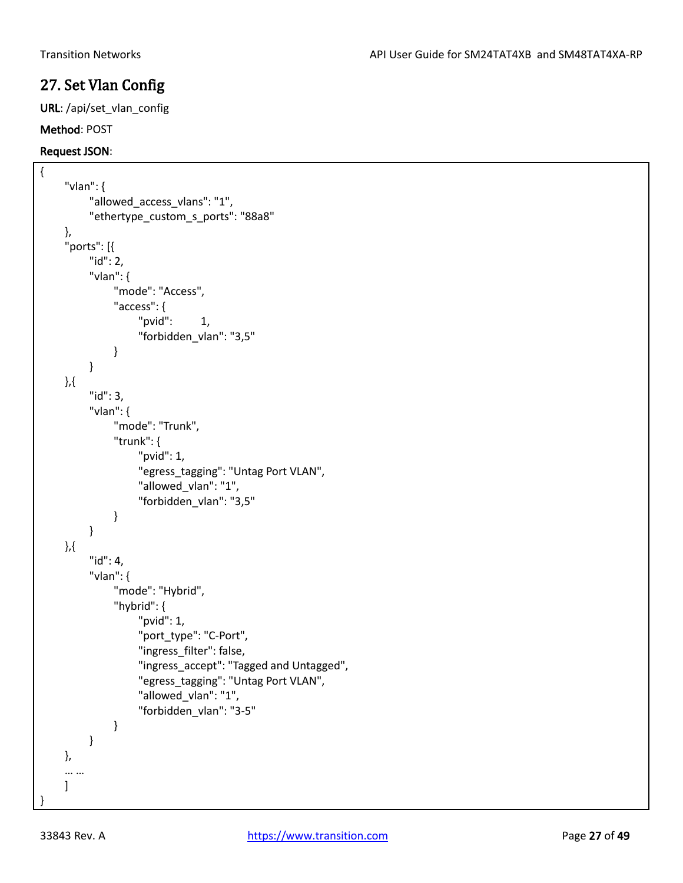## <span id="page-26-0"></span>27. Set Vlan Config

URL: /api/set\_vlan\_config

### Method: POST

### Request JSON:

```
{
     "vlan": {
          "allowed_access_vlans": "1",
          "ethertype_custom_s_ports": "88a8"
     },
     "ports": [{
          "id": 2,
          "vlan": {
               "mode": "Access",
               "access": {
                    "pvid": 1,"forbidden_vlan": "3,5"
              }
          }
    },{
          "id": 3,
          "vlan": {
               "mode": "Trunk",
               "trunk": {
                    "pvid": 1,
                    "egress_tagging": "Untag Port VLAN",
                    "allowed_vlan": "1",
                    "forbidden_vlan": "3,5"
              }
          }
    },{
          "id": 4,
          "vlan": {
               "mode": "Hybrid",
               "hybrid": {
                    "pvid": 1,
                    "port_type": "C-Port",
                    "ingress_filter": false,
                    "ingress_accept": "Tagged and Untagged",
                    "egress_tagging": "Untag Port VLAN",
                    "allowed_vlan": "1",
                    "forbidden_vlan": "3-5"
               }
         }
    },
     … …
    ]
}
```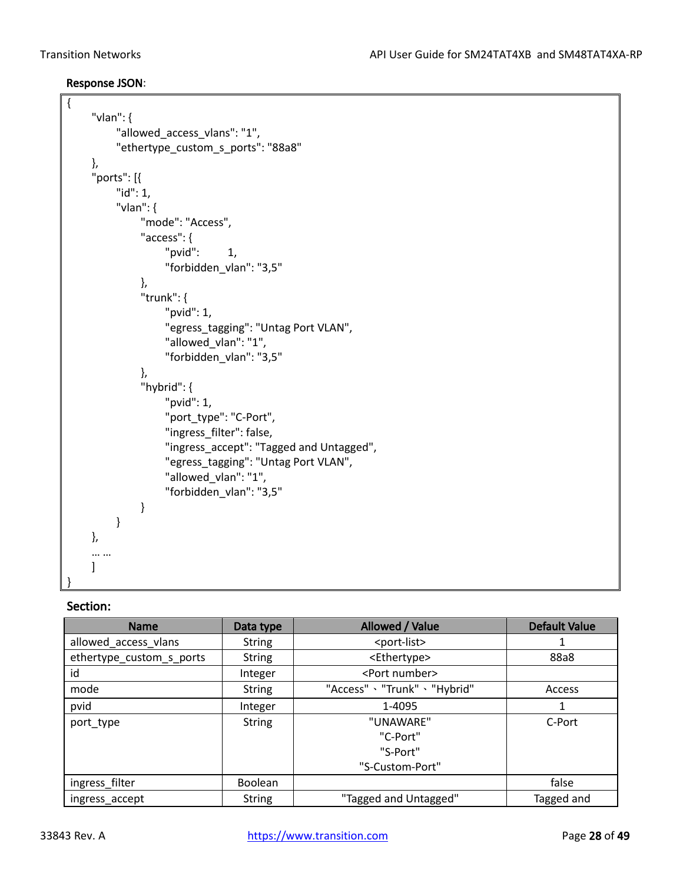{

## Response JSON:

```
"vlan": {
         "allowed_access_vlans": "1",
         "ethertype_custom_s_ports": "88a8"
    },
    "ports": [{
         "id": 1,
         "vlan": {
              "mode": "Access",
              "access": {
                   "pvid": 1,
                   "forbidden_vlan": "3,5"
              },
              "trunk": {
                   "pvid": 1,
                   "egress_tagging": "Untag Port VLAN",
                   "allowed_vlan": "1",
                   "forbidden_vlan": "3,5"
              },
              "hybrid": {
                   "pvid": 1,
                   "port_type": "C-Port",
                   "ingress_filter": false,
                   "ingress_accept": "Tagged and Untagged",
                   "egress_tagging": "Untag Port VLAN",
                   "allowed_vlan": "1",
                   "forbidden_vlan": "3,5"
              }
         }
    },
    … …
    \mathbf{I}}
```

| <b>Name</b>              | Data type      | Allowed / Value               | <b>Default Value</b> |
|--------------------------|----------------|-------------------------------|----------------------|
| allowed access vlans     | <b>String</b>  | <port-list></port-list>       |                      |
| ethertype_custom_s_ports | <b>String</b>  | <ethertype></ethertype>       | 88a8                 |
| id                       | Integer        | <port number=""></port>       |                      |
| mode                     | <b>String</b>  | "Access" > "Trunk" > "Hybrid" | Access               |
| pvid                     | Integer        | 1-4095                        |                      |
| port_type                | <b>String</b>  | "UNAWARE"                     | C-Port               |
|                          |                | "C-Port"                      |                      |
|                          |                | "S-Port"                      |                      |
|                          |                | "S-Custom-Port"               |                      |
| ingress_filter           | <b>Boolean</b> |                               | false                |
| ingress_accept           | <b>String</b>  | "Tagged and Untagged"         | Tagged and           |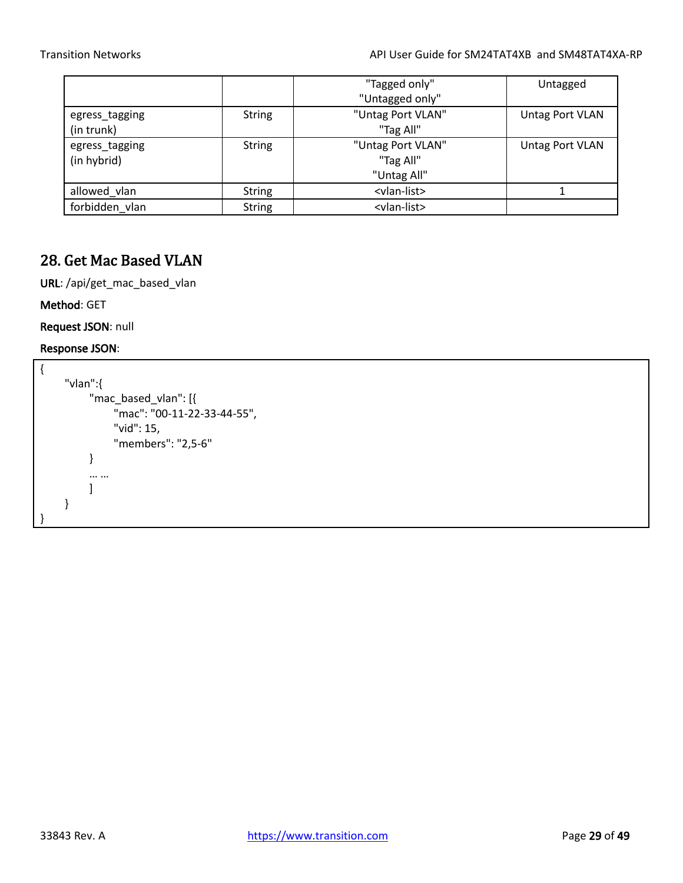|                |               | "Tagged only"           | Untagged        |
|----------------|---------------|-------------------------|-----------------|
|                |               | "Untagged only"         |                 |
| egress_tagging | <b>String</b> | "Untag Port VLAN"       | Untag Port VLAN |
| (in trunk)     |               | "Tag All"               |                 |
| egress_tagging | <b>String</b> | "Untag Port VLAN"       | Untag Port VLAN |
| (in hybrid)    |               | "Tag All"               |                 |
|                |               | "Untag All"             |                 |
| allowed_vlan   | <b>String</b> | <vlan-list></vlan-list> |                 |
| forbidden vlan | <b>String</b> | <vlan-list></vlan-list> |                 |

# <span id="page-28-0"></span>28. Get Mac Based VLAN

URL: /api/get\_mac\_based\_vlan

Method: GET

Request JSON: null

```
{
    "vlan":{
         "mac_based_vlan": [{
              "mac": "00-11-22-33-44-55",
              "vid": 15,
              "members": "2,5-6"
         }
         … …
         ]
    }
}
```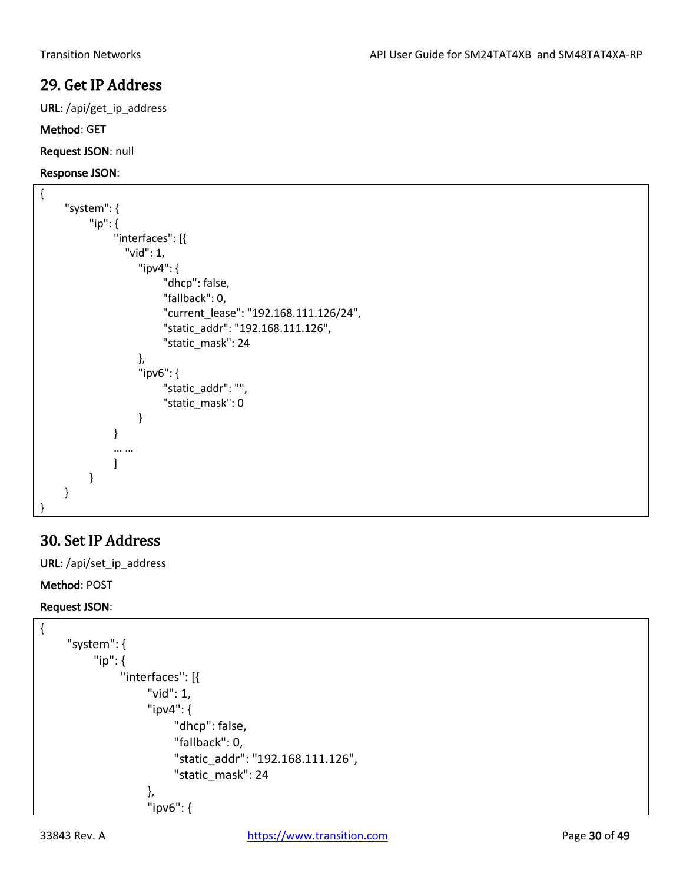# 29. Get IP Address

URL: /api/get\_ip\_address

### Method: GET

Request JSON: null

### Response JSON:

```
{
     "system": {
          "ip": {
               "interfaces": [{
                  "vid": 1,
                    "ipv4": {
                         "dhcp": false,
                         "fallback": 0,
                         "current_lease": "192.168.111.126/24",
                         "static_addr": "192.168.111.126",
                         "static_mask": 24
                    },
                    "ipv6": {
                         "static_addr": "",
                         "static_mask": 0
                    }
               }
               … …
               ]
          }
    }
}
```
# <span id="page-29-0"></span>30. Set IP Address

URL: /api/set\_ip\_address

Method: POST

## Request JSON:

```
{
     "system": {
          "ip": {
                "interfaces": [{
                     "vid": 1,
                     "ipv4": {
                          "dhcp": false,
                          "fallback": 0,
                          "static_addr": "192.168.111.126",
                          "static_mask": 24
                     },
                     "ipv6": {
```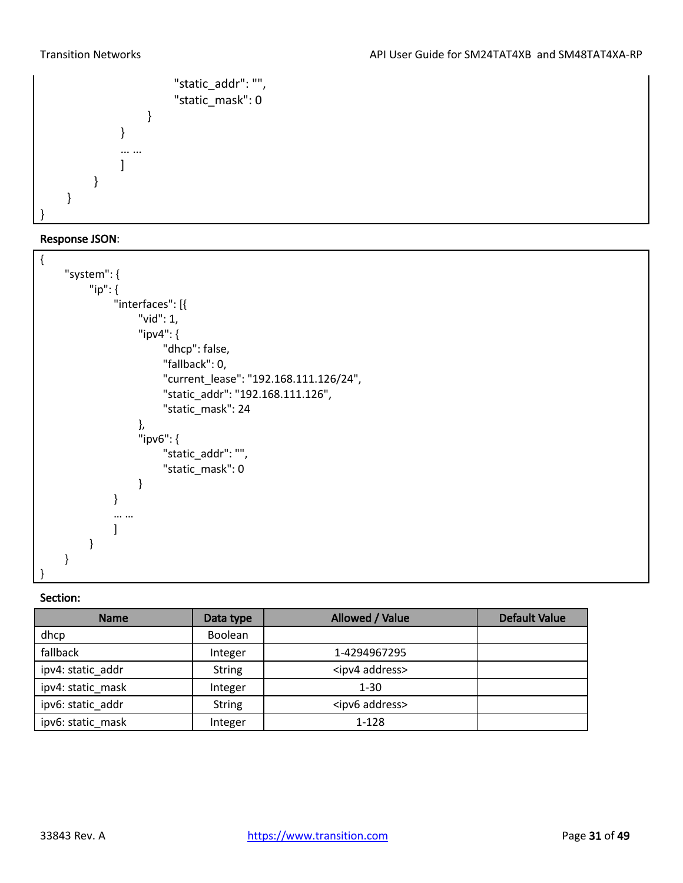

### Response JSON:

<span id="page-30-0"></span>

| <b>Name</b>       | Data type      | Allowed / Value          | <b>Default Value</b> |
|-------------------|----------------|--------------------------|----------------------|
| dhcp              | <b>Boolean</b> |                          |                      |
| fallback          | Integer        | 1-4294967295             |                      |
| ipv4: static addr | <b>String</b>  | <ipv4 address=""></ipv4> |                      |
| ipv4: static mask | Integer        | $1 - 30$                 |                      |
| ipv6: static_addr | <b>String</b>  | <ipv6 address=""></ipv6> |                      |
| ipv6: static mask | Integer        | 1-128                    |                      |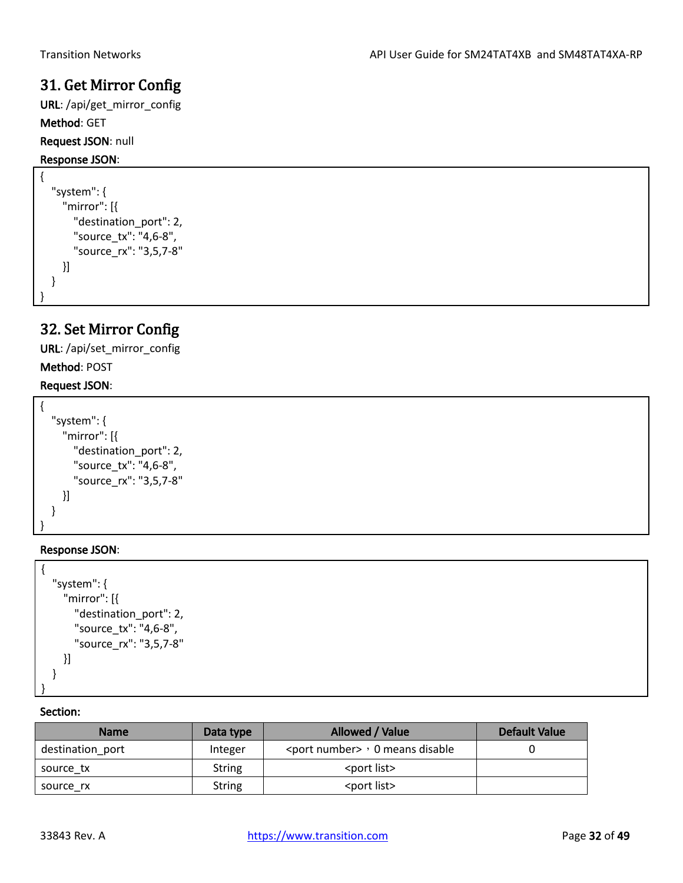# 31. Get Mirror Config

URL: /api/get\_mirror\_config Method: GET Request JSON: null

## Response JSON:

```
{
   "system": {
     "mirror": [{
        "destination_port": 2,
        "source_tx": "4,6-8",
        "source_rx": "3,5,7-8"
     }]
   }
```
# 32. Set Mirror Config

URL: /api/set\_mirror\_config

## Method: POST

<span id="page-31-0"></span>}

## Request JSON:

```
{
   "system": {
     "mirror": [{
        "destination_port": 2,
        "source_tx": "4,6-8",
        "source_rx": "3,5,7-8"
     }]
   }
}
```
## Response JSON:

```
{
   "system": {
     "mirror": [{
        "destination_port": 2,
        "source_tx": "4,6-8",
        "source_rx": "3,5,7-8"
     }]
   }
}
```

| Name             | Data type     | Allowed / Value                           | <b>Default Value</b> |
|------------------|---------------|-------------------------------------------|----------------------|
| destination port | Integer       | <port number=""> , 0 means disable</port> |                      |
| source tx        | String        | <port list=""></port>                     |                      |
| source rx        | <b>String</b> | <port list=""></port>                     |                      |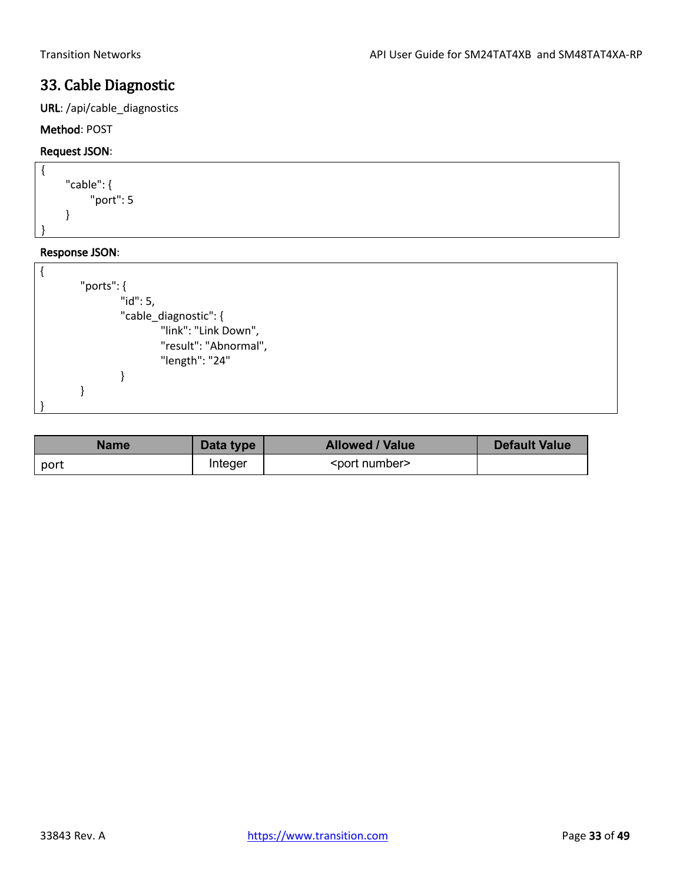# <span id="page-32-0"></span>33. Cable Diagnostic

URL: /api/cable\_diagnostics

## Method: POST

## Request JSON:



| "ports": $\{$ |                       |
|---------------|-----------------------|
|               | "id": 5,              |
|               | "cable_diagnostic": { |
|               | "link": "Link Down",  |
|               | "result": "Abnormal", |
|               | "length": "24"        |
|               |                       |
|               |                       |
|               |                       |

| <b>Name</b> | Data type | <b>Allowed / Value</b>  | <b>Default Value</b> |
|-------------|-----------|-------------------------|----------------------|
| port        | Integer   | <port number=""></port> |                      |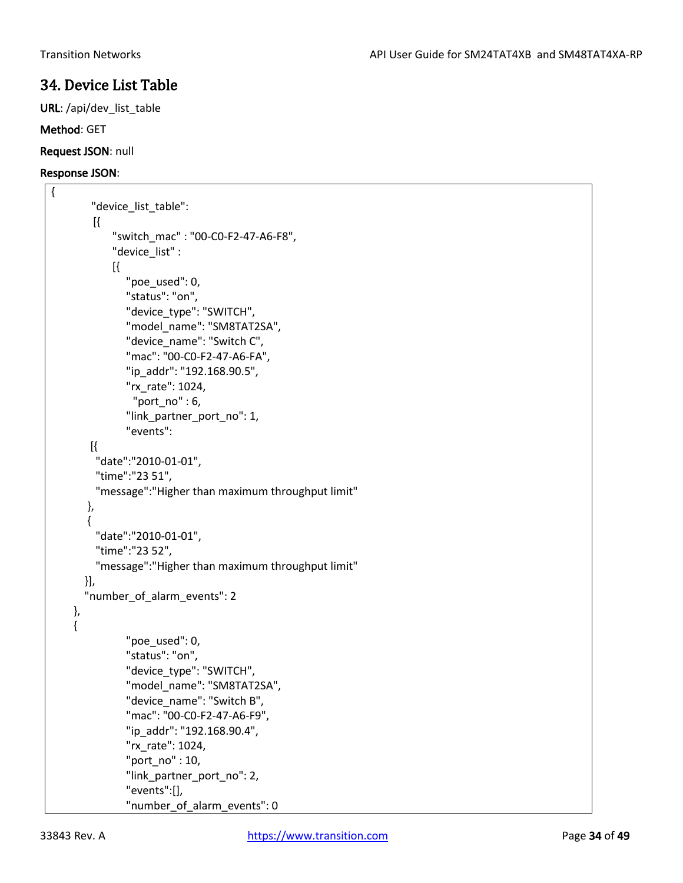# <span id="page-33-0"></span>34. Device List Table

URL: /api/dev\_list\_table

### Method: GET

Request JSON: null

### Response JSON:

{

```
"device_list_table":
    [{
         "switch_mac" : "00-C0-F2-47-A6-F8",
         "device_list" : 
         [{ 
            "poe_used": 0,
           "status": "on",
           "device_type": "SWITCH",
           "model_name": "SM8TAT2SA",
           "device_name": "Switch C",
           "mac": "00-C0-F2-47-A6-FA",
           "ip_addr": "192.168.90.5",
           "rx_rate": 1024,
             "port_no" : 6,
           "link_partner_port_no": 1,
           "events":
    [{
     "date":"2010-01-01",
     "time":"23 51",
     "message":"Higher than maximum throughput limit"
   },
   {
     "date":"2010-01-01",
     "time":"23 52",
     "message":"Higher than maximum throughput limit"
   }],
   "number_of_alarm_events": 2
 },
 {
           "poe used": 0,
           "status": "on",
           "device_type": "SWITCH",
           "model_name": "SM8TAT2SA",
           "device_name": "Switch B",
           "mac": "00-C0-F2-47-A6-F9",
           "ip_addr": "192.168.90.4",
           "rx_rate": 1024,
           "port_no" : 10,
          "link partner port no": 2,
           "events":[],
           "number_of_alarm_events": 0
```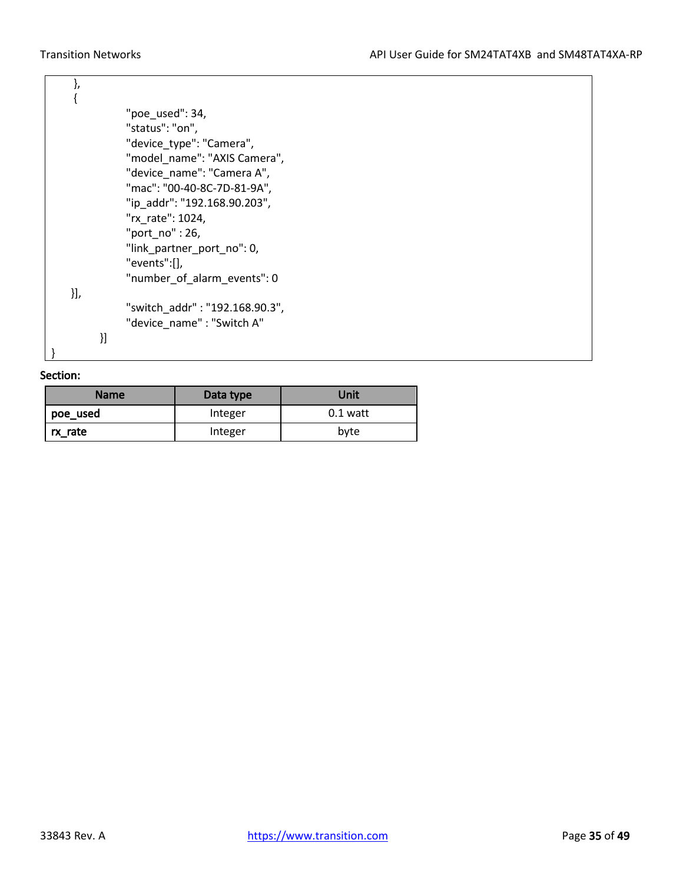|     |    | "poe_used": $34,$              |
|-----|----|--------------------------------|
|     |    | "status": "on",                |
|     |    | "device_type": "Camera",       |
|     |    | "model name": "AXIS Camera",   |
|     |    | "device name": "Camera A",     |
|     |    | "mac": "00-40-8C-7D-81-9A",    |
|     |    | "ip_addr": "192.168.90.203",   |
|     |    | "rx rate": 1024,               |
|     |    | "port $no$ ": 26,              |
|     |    | "link_partner_port_no": 0,     |
|     |    | "events":[],                   |
|     |    | "number_of_alarm_events": 0    |
| }], |    |                                |
|     |    | "switch_addr": "192.168.90.3", |
|     |    | "device_name": "Switch A"      |
|     | }] |                                |
|     |    |                                |

| <b>Name</b> | Data type | Unit       |  |
|-------------|-----------|------------|--|
| poe_used    | Integer   | $0.1$ watt |  |
| rx rate     | Integer   | byte       |  |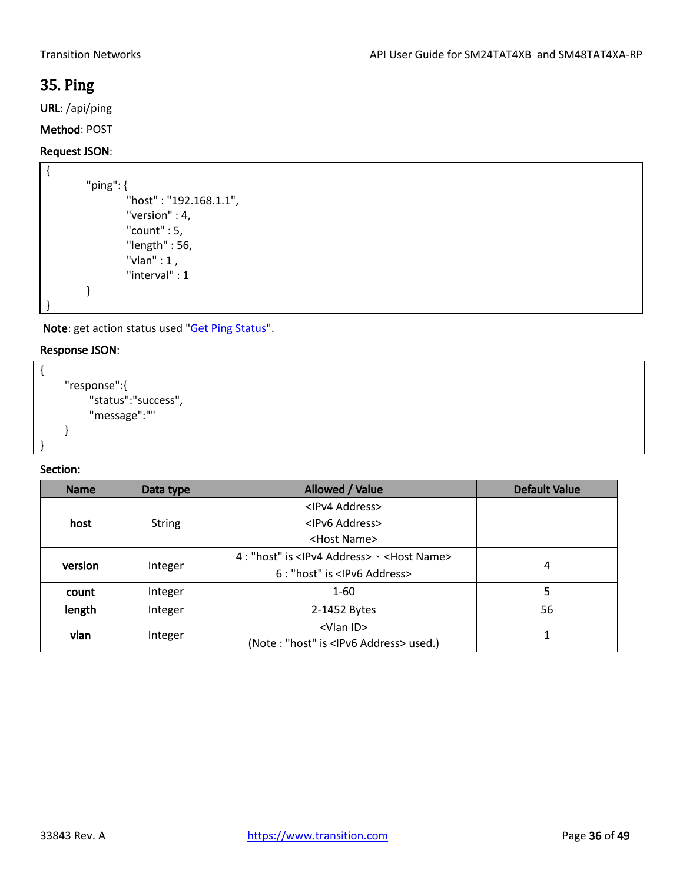# <span id="page-35-0"></span>35. Ping

URL: /api/ping

## Method: POST

### Request JSON:

```
{
        "ping": {
                 "host" : "192.168.1.1",
                 "version" : 4,
                 "count" : 5,
                 "length" : 56,
                 "vlan" : 1 ,
                  "interval" : 1
        }
}
```
Note: get action status used "Get Ping Status".

## Response JSON:

```
{
    "response":{
         "status":"success",
         "message":""
    }
}
```

| <b>Name</b> | Data type     | Allowed / Value                                                                 | <b>Default Value</b> |
|-------------|---------------|---------------------------------------------------------------------------------|----------------------|
| host        |               | <ipv4 address=""></ipv4>                                                        |                      |
|             | <b>String</b> | <ipv6 address=""></ipv6>                                                        |                      |
|             |               | <host name=""></host>                                                           |                      |
| version     | Integer       | 4 : "host" is <ipv4 address=""> <math>\cdot</math> <host name=""></host></ipv4> |                      |
|             |               | 6 : "host" is <lpv6 address=""></lpv6>                                          | 4                    |
| count       | Integer       | $1 - 60$                                                                        | 5                    |
| length      | Integer       | 2-1452 Bytes                                                                    | 56                   |
| vlan        | Integer       | <vlan id=""><br/>(Note: "host" is <ipv6 address=""> used.)</ipv6></vlan>        |                      |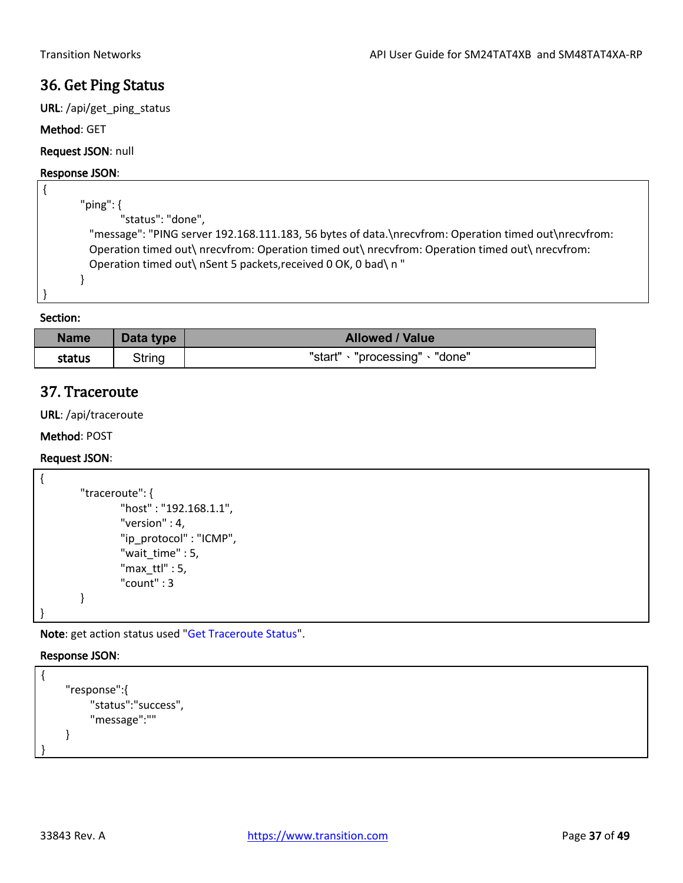## <span id="page-36-0"></span>36. Get Ping Status

URL: /api/get\_ping\_status

### Method: GET

Request JSON: null

### Response JSON:

```
{
       "ping": {
               "status": "done",
         "message": "PING server 192.168.111.183, 56 bytes of data.\nrecvfrom: Operation timed out\nrecvfrom: 
         Operation timed out\ nrecvfrom: Operation timed out\ nrecvfrom: Operation timed out\ nrecvfrom: 
         Operation timed out\ nSent 5 packets,received 0 OK, 0 bad\ n "
       }
}
```
Section:

| <b>Name</b> | Data type | <b>Allowed / Value</b>           |
|-------------|-----------|----------------------------------|
| status      | String    | "start"<br>"processing" · "done" |

## <span id="page-36-1"></span>37. Traceroute

URL: /api/traceroute

Method: POST

### Request JSON:

```
{
        "traceroute": {
                 "host" : "192.168.1.1",
                 "version" : 4,
                 "ip_protocol" : "ICMP",
                 "wait_time" : 5,
                 "maxttl" : 5,
                 "count" : 3
        }
}
```
Note: get action status used "Get Traceroute Status".

### Response JSON:

{

}

```
"response":{
    "status":"success",
     "message":""
}
```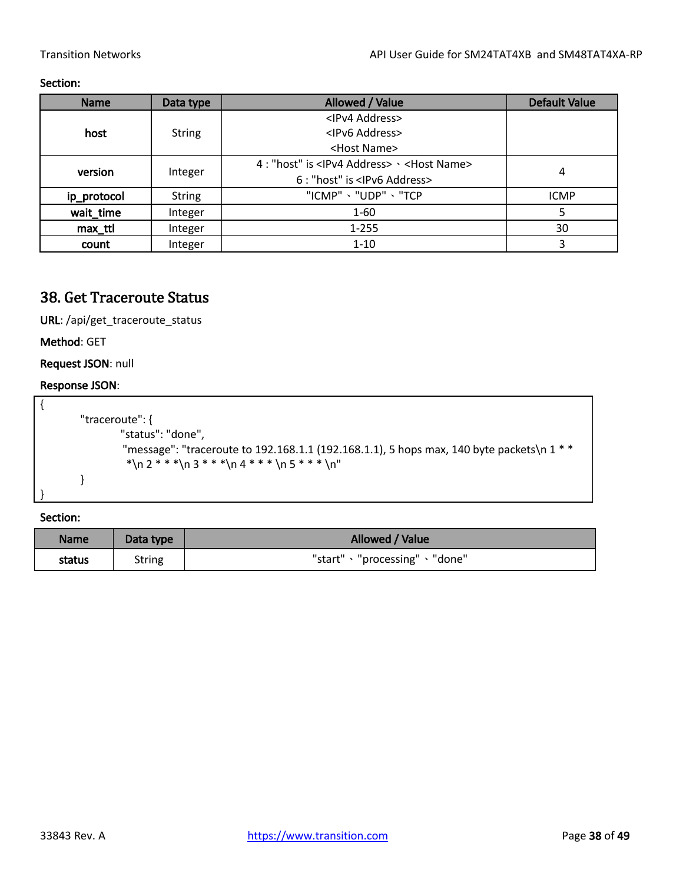### Section:

| <b>Name</b> | Data type     | Allowed / Value                                                   | <b>Default Value</b> |
|-------------|---------------|-------------------------------------------------------------------|----------------------|
|             |               | <ipv4 address=""></ipv4>                                          |                      |
| host        | <b>String</b> | <ipv6 address=""></ipv6>                                          |                      |
|             |               | <host name=""></host>                                             |                      |
| version     | Integer       | 4 : "host" is <ipv4 address=""> &gt; <host name=""></host></ipv4> |                      |
|             |               | 6 : "host" is <lpv6 address=""></lpv6>                            | 4                    |
| ip_protocol | <b>String</b> | "ICMP" 、"UDP" 、"TCP                                               | <b>ICMP</b>          |
| wait_time   | Integer       | $1 - 60$                                                          | 5                    |
| max ttl     | Integer       | $1 - 255$                                                         | 30                   |
| count       | Integer       | $1 - 10$                                                          | 3                    |

# <span id="page-37-0"></span>38. Get Traceroute Status

URL: /api/get\_traceroute\_status

Method: GET

Request JSON: null

## Response JSON:

| "traceroute": {                                                                           |
|-------------------------------------------------------------------------------------------|
| "status": "done",                                                                         |
| "message": "traceroute to 192.168.1.1 (192.168.1.1), 5 hops max, 140 byte packets\n 1 * * |
| *\n 2 * * *\n 3 * * *\n 4 * * * \n 5 * * * \n"                                            |
|                                                                                           |
|                                                                                           |

| <b>Name</b> | Data type | Allowed / Value                 |
|-------------|-----------|---------------------------------|
| status      | String    | "start" · "processing" · "done" |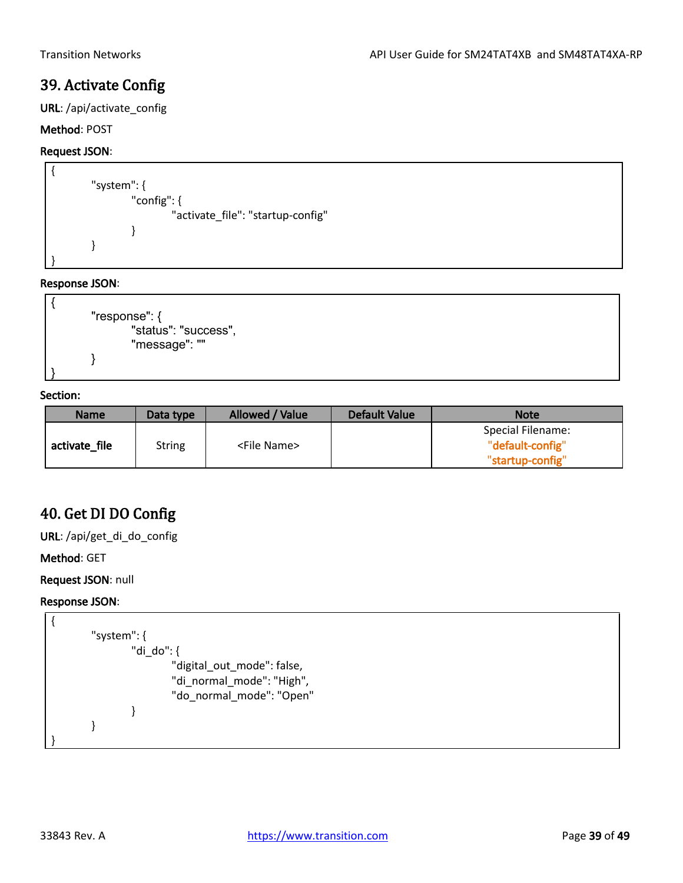# <span id="page-38-0"></span>39. Activate Config

URL: /api/activate\_config

## Method: POST

## Request JSON:

```
{
        "system": {
                 "config": {
                          "activate_file": "startup-config"
                 }
        }
}
```
### Response JSON:

```
{
       "response": {
               "status": "success",
               "message": ""
       }
}
```
### Section:

| <b>Name</b>   | Data type     | Allowed / Value       | <b>Default Value</b> | <b>Note</b>       |
|---------------|---------------|-----------------------|----------------------|-------------------|
|               |               |                       |                      | Special Filename: |
| activate file | <b>String</b> | <file name=""></file> |                      | "default-config"  |
|               |               |                       |                      | "startup-config"  |

# <span id="page-38-1"></span>40. Get DI DO Config

URL: /api/get\_di\_do\_config

Method: GET

Request JSON: null

```
{
       "system": {
               "di_do": {
                       "digital_out_mode": false,
                       "di_normal_mode": "High",
                       "do_normal_mode": "Open"
               }
       }
}
```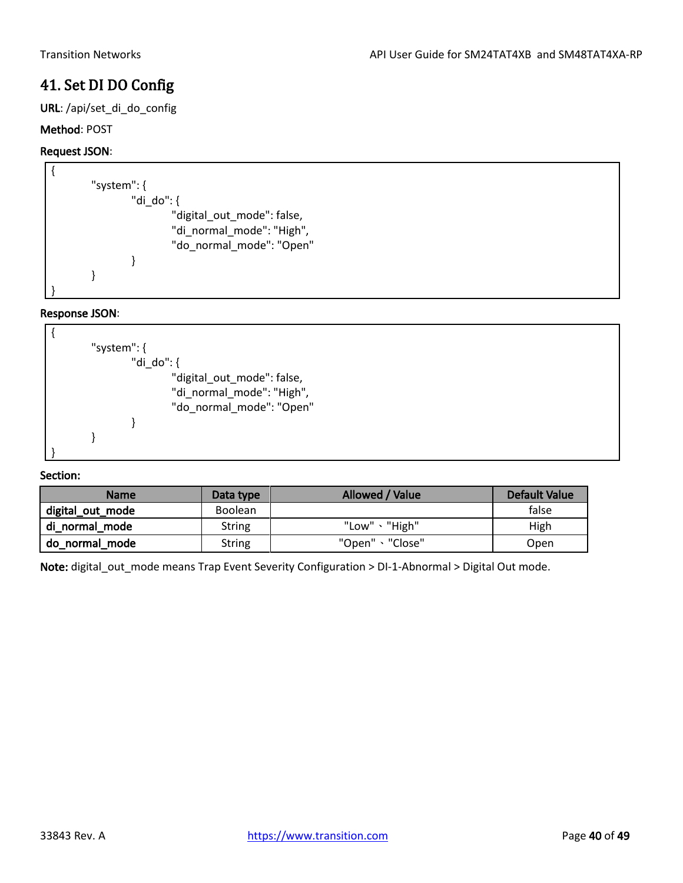# <span id="page-39-0"></span>41. Set DI DO Config

URL: /api/set\_di\_do\_config

## Method: POST

## Request JSON:

| "system": $\{$                                                                      |
|-------------------------------------------------------------------------------------|
| "di do": {                                                                          |
| "digital_out_mode": false,<br>"di_normal_mode": "High",<br>"do_normal_mode": "Open" |
|                                                                                     |
|                                                                                     |
|                                                                                     |

## Response JSON:



## Section:

| <b>Name</b>      | Data type      | Allowed / Value | Default Value |
|------------------|----------------|-----------------|---------------|
| digital_out_mode | <b>Boolean</b> |                 | false         |
| di normal mode   | <b>String</b>  | "Low"、"High"    | High          |
| do normal mode   | <b>String</b>  | "Open"、"Close"  | Open          |

Note: digital\_out\_mode means Trap Event Severity Configuration > DI-1-Abnormal > Digital Out mode.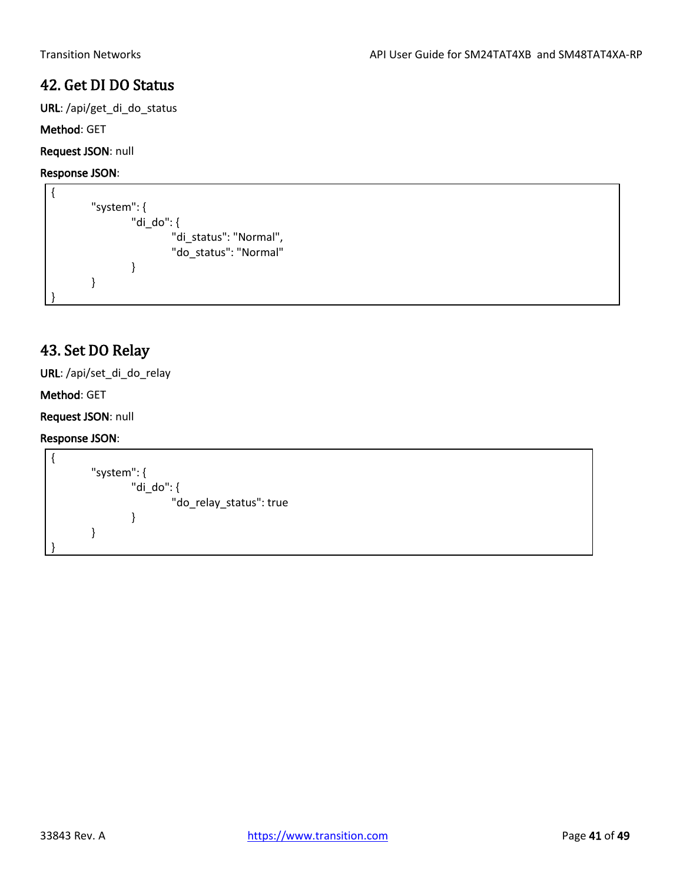# <span id="page-40-0"></span>42. Get DI DO Status

URL: /api/get\_di\_do\_status

## Method: GET

Request JSON: null

## Response JSON:

{ "system": { "di\_do": { "di\_status": "Normal", "do\_status": "Normal" } } }

# <span id="page-40-1"></span>43. Set DO Relay

URL: /api/set\_di\_do\_relay

## Method: GET

## Request JSON: null

```
{
        "system": {
                 "di_do": {
                         "do_relay_status": true
                 }
        }
}
```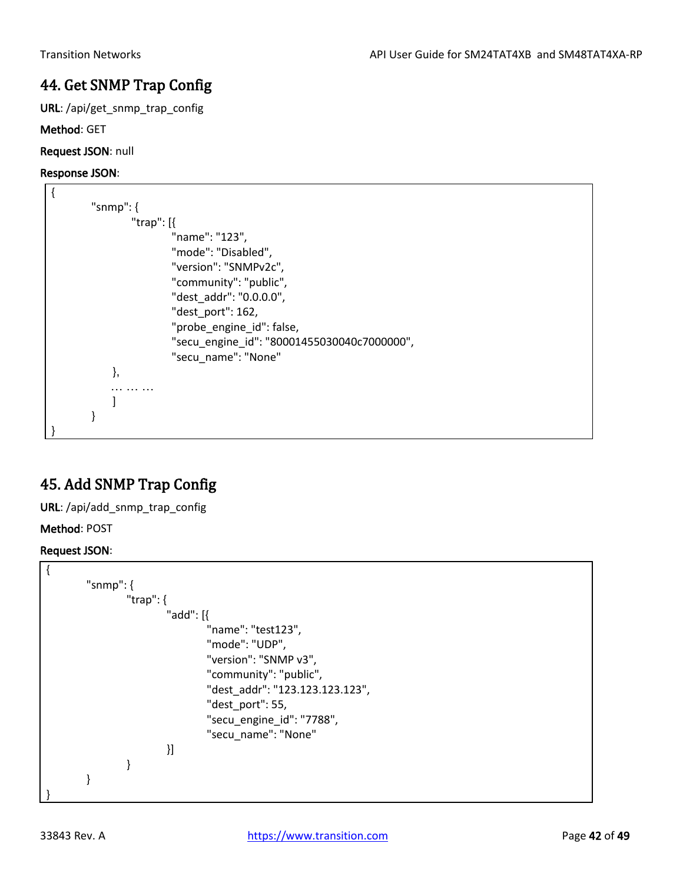# <span id="page-41-0"></span>44. Get SNMP Trap Config

URL: /api/get\_snmp\_trap\_config

Method: GET

Request JSON: null

## Response JSON:

| "snmp": $\{$ |                                             |
|--------------|---------------------------------------------|
| "trap": $[$  |                                             |
|              | "name": "123",                              |
|              | "mode": "Disabled",                         |
|              | "version": "SNMPv2c",                       |
|              | "community": "public",                      |
|              | "dest addr": "0.0.0.0",                     |
|              | "dest_port": 162,                           |
|              | "probe_engine_id": false,                   |
|              | "secu engine id": "80001455030040c7000000", |
|              | "secu_name": "None"                         |
| ł,           |                                             |
|              |                                             |
|              |                                             |
|              |                                             |
|              |                                             |

# <span id="page-41-1"></span>45. Add SNMP Trap Config

URL: /api/add\_snmp\_trap\_config

Method: POST

Request JSON:

| "snmp": $\{$                    |
|---------------------------------|
| "trap": $\{$                    |
| "add": $[$                      |
| "name": "test123",              |
| "mode": "UDP",                  |
| "version": "SNMP v3",           |
| "community": "public",          |
| "dest_addr": "123.123.123.123", |
| "dest_port": 55,                |
| "secu_engine_id": "7788",       |
| "secu_name": "None"             |
| }]                              |
|                                 |
|                                 |
|                                 |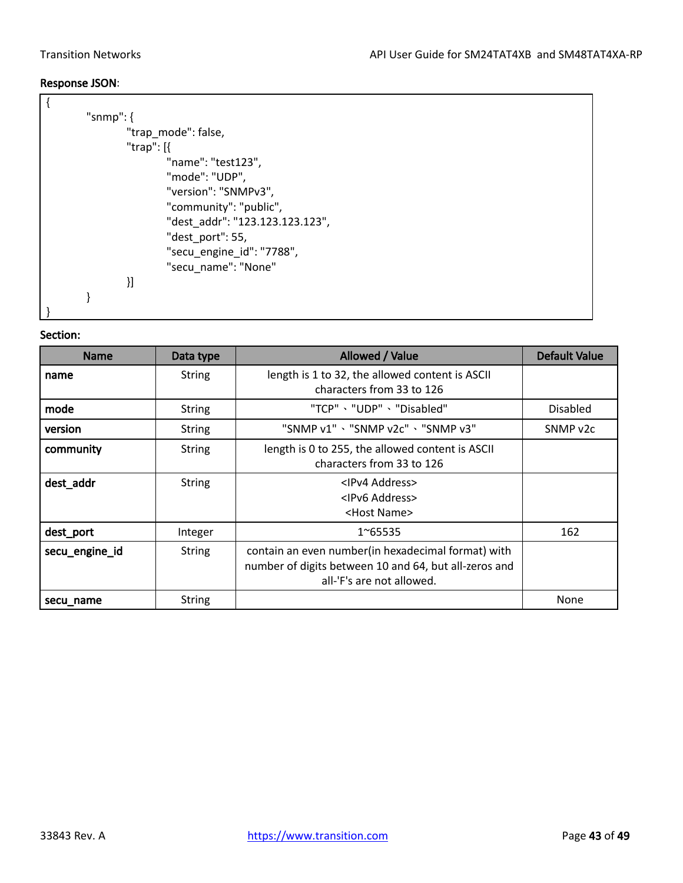### Response JSON:

| "snmp": $\{$                    |  |
|---------------------------------|--|
| "trap_mode": false,             |  |
| "trap": $[$                     |  |
| "name": "test123",              |  |
| "mode": "UDP",                  |  |
| "version": "SNMPv3",            |  |
| "community": "public",          |  |
| "dest addr": "123.123.123.123", |  |
| "dest_port": 55,                |  |
| "secu_engine_id": "7788",       |  |
| "secu name": "None"             |  |
| }]                              |  |
|                                 |  |
|                                 |  |

| <b>Name</b>    | Data type     | Allowed / Value                                                                                                                          | <b>Default Value</b> |
|----------------|---------------|------------------------------------------------------------------------------------------------------------------------------------------|----------------------|
| name           | <b>String</b> | length is 1 to 32, the allowed content is ASCII<br>characters from 33 to 126                                                             |                      |
| mode           | <b>String</b> | "TCP"、"UDP"、"Disabled"                                                                                                                   | <b>Disabled</b>      |
| version        | <b>String</b> | "SNMP v1" 、"SNMP v2c" 、"SNMP v3"                                                                                                         | SNMP v2c             |
| community      | <b>String</b> | length is 0 to 255, the allowed content is ASCII<br>characters from 33 to 126                                                            |                      |
| dest_addr      | <b>String</b> | <ipv4 address=""><br/><ipv6 address=""><br/><host name=""></host></ipv6></ipv4>                                                          |                      |
| dest_port      | Integer       | 1~65535                                                                                                                                  | 162                  |
| secu_engine_id | <b>String</b> | contain an even number(in hexadecimal format) with<br>number of digits between 10 and 64, but all-zeros and<br>all-'F's are not allowed. |                      |
| secu_name      | <b>String</b> |                                                                                                                                          | None                 |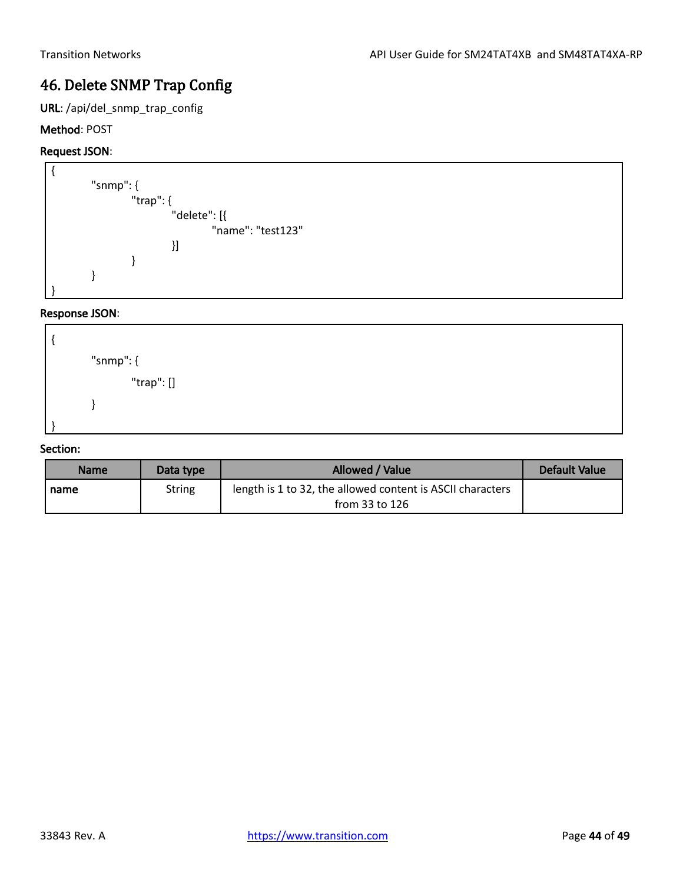# <span id="page-43-0"></span>46. Delete SNMP Trap Config

URL: /api/del\_snmp\_trap\_config

## Method: POST

## Request JSON:



## Response JSON:



| <b>Name</b> | Data type | Allowed / Value                                                                | Default Value |
|-------------|-----------|--------------------------------------------------------------------------------|---------------|
| I name      | String    | length is 1 to 32, the allowed content is ASCII characters<br>from 33 to $126$ |               |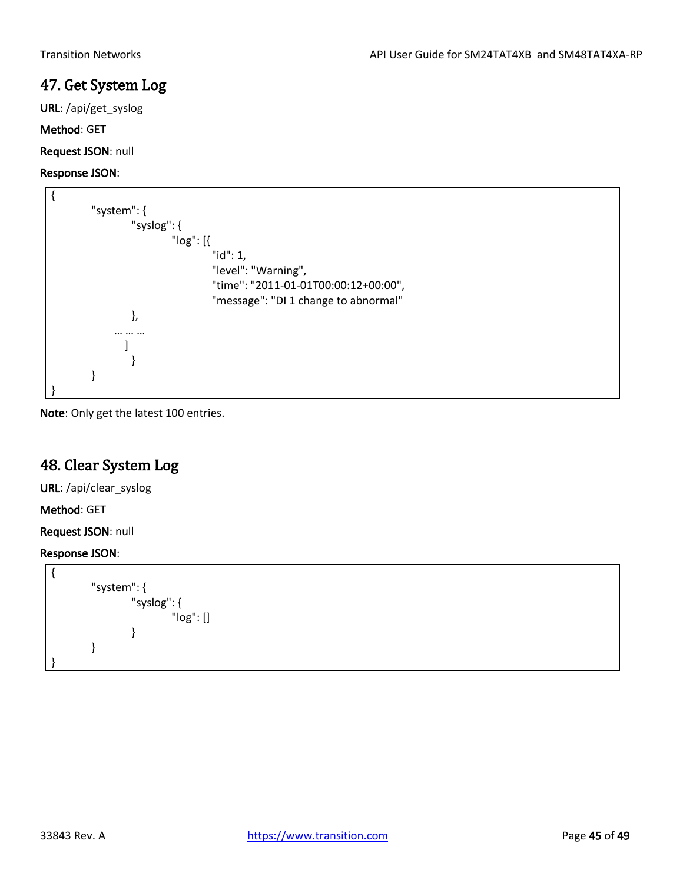# <span id="page-44-0"></span>47. Get System Log

URL: /api/get\_syslog

Method: GET

Request JSON: null

## Response JSON:

| "system": $\{$ |                                      |
|----------------|--------------------------------------|
| "syslog": $\{$ |                                      |
| " $log$ ": [{  |                                      |
|                | " $id$ ": 1,                         |
|                | "level": "Warning",                  |
|                | "time": "2011-01-01T00:00:12+00:00", |
|                | "message": "DI 1 change to abnormal" |
| },             |                                      |
|                |                                      |
|                |                                      |
|                |                                      |
|                |                                      |
|                |                                      |

Note: Only get the latest 100 entries.

# <span id="page-44-1"></span>48. Clear System Log

URL: /api/clear\_syslog

Method: GET

Request JSON: null

```
{
         "system": {
                  "syslog": {
                           "log": []
                  }
        }
}
```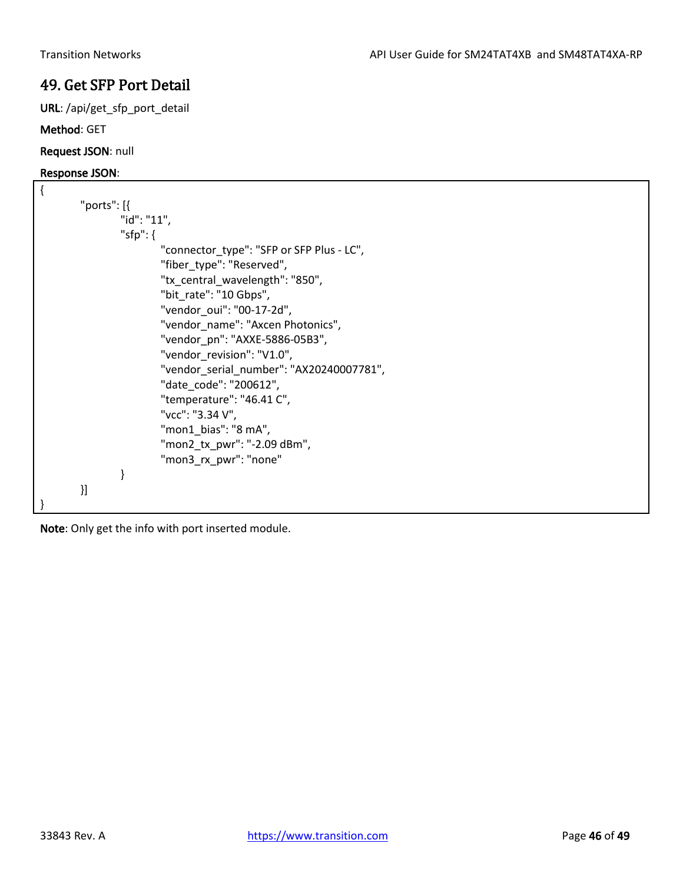# <span id="page-45-0"></span>49. Get SFP Port Detail

URL: /api/get\_sfp\_port\_detail

## Method: GET

Request JSON: null

## Response JSON:

| { |             |             |                                           |
|---|-------------|-------------|-------------------------------------------|
|   | "ports": [{ |             |                                           |
|   |             | "id": "11", |                                           |
|   |             | "sfp": $\{$ |                                           |
|   |             |             | "connector_type": "SFP or SFP Plus - LC", |
|   |             |             | "fiber type": "Reserved",                 |
|   |             |             | "tx central wavelength": "850",           |
|   |             |             | "bit_rate": "10 Gbps",                    |
|   |             |             | "vendor oui": "00-17-2d",                 |
|   |             |             | "vendor name": "Axcen Photonics",         |
|   |             |             | "vendor pn": "AXXE-5886-05B3",            |
|   |             |             | "vendor_revision": "V1.0",                |
|   |             |             | "vendor_serial_number": "AX20240007781",  |
|   |             |             | "date code": "200612",                    |
|   |             |             | "temperature": "46.41 C",                 |
|   |             |             | "vcc": "3.34 V",                          |
|   |             |             | "mon1 bias": "8 mA",                      |
|   |             |             | "mon2_tx_pwr": "-2.09 dBm",               |
|   |             |             | "mon3_rx_pwr": "none"                     |
|   |             | }           |                                           |
|   | }]          |             |                                           |
|   |             |             |                                           |

Note: Only get the info with port inserted module.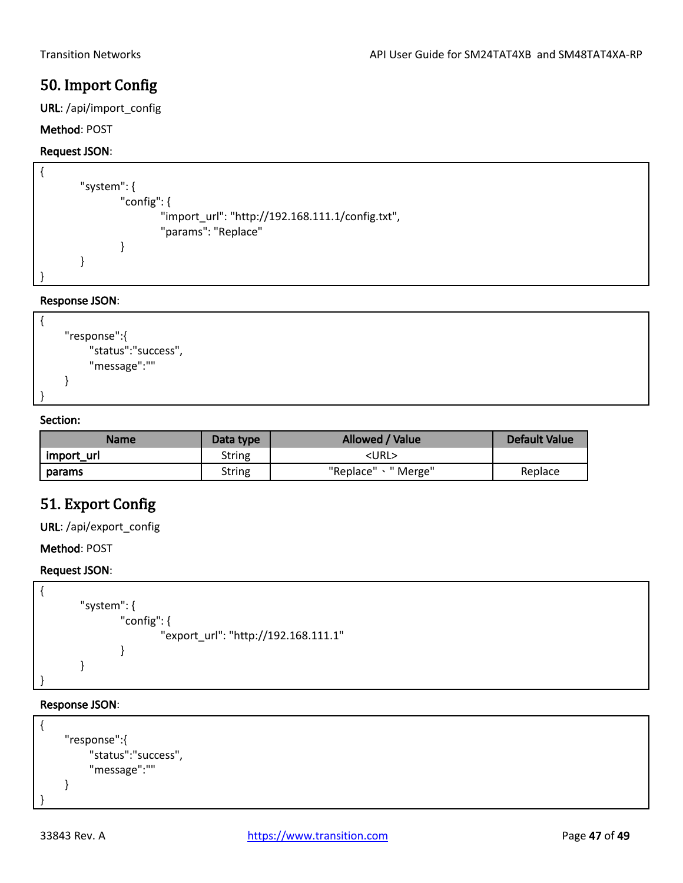# <span id="page-46-0"></span>50. Import Config

URL: /api/import\_config

### Method: POST

### Request JSON:

```
{
        "system": {
                "config": {
                         "import_url": "http://192.168.111.1/config.txt",
                          "params": "Replace"
                }
        }
}
```
### Response JSON:



### Section:

| Name       | Data type | Allowed / Value      | Default Value |
|------------|-----------|----------------------|---------------|
| import_url | String    | <url></url>          |               |
| params     | String    | "Replace" \ " Merge" | Replace       |

## <span id="page-46-1"></span>51. Export Config

URL: /api/export\_config

Method: POST

### Request JSON:

```
{
        "system": {
                 "config": {
                         "export_url": "http://192.168.111.1"
                 }
        }
}
```

```
{ 
     "response":{
          "status":"success",
          "message":"" 
     }
}
```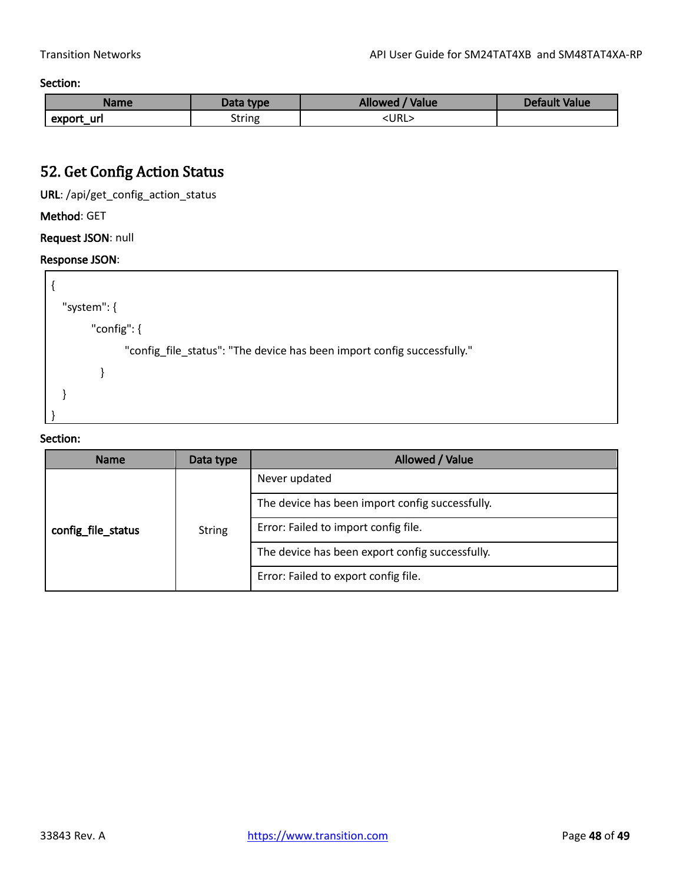Section:

| <b>Name</b>    | Data type | Allowed / Value | Default Value |
|----------------|-----------|-----------------|---------------|
| -url<br>export | String    | <url></url>     |               |

# <span id="page-47-0"></span>52. Get Config Action Status

URL: /api/get\_config\_action\_status

## Method: GET

Request JSON: null

## Response JSON:



| <b>Name</b>        | Data type     | Allowed / Value                                 |
|--------------------|---------------|-------------------------------------------------|
|                    | <b>String</b> | Never updated                                   |
|                    |               | The device has been import config successfully. |
| config file status |               | Error: Failed to import config file.            |
|                    |               | The device has been export config successfully. |
|                    |               | Error: Failed to export config file.            |